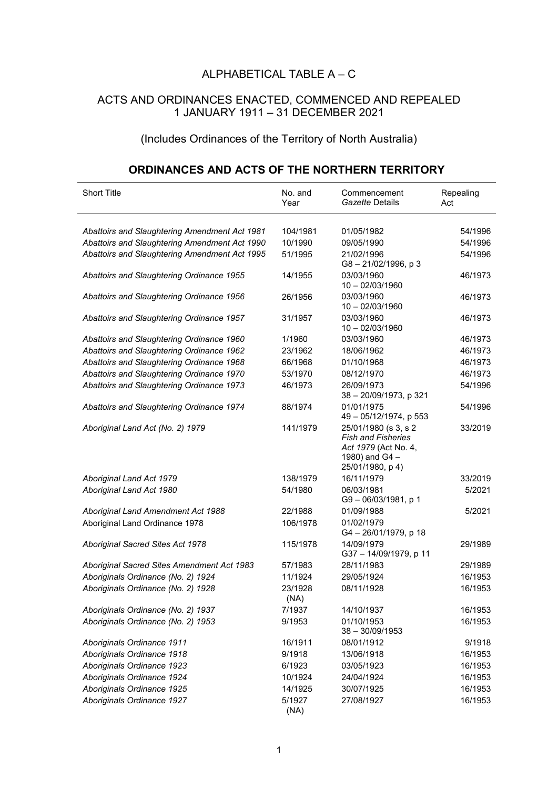## ALPHABETICAL TABLE A – C

## ACTS AND ORDINANCES ENACTED, COMMENCED AND REPEALED 1 JANUARY 1911 – 31 DECEMBER 2021

## (Includes Ordinances of the Territory of North Australia)

## **ORDINANCES AND ACTS OF THE NORTHERN TERRITORY**

| <b>Short Title</b>                                                                             | No. and<br>Year     | Commencement<br>Gazette Details                                                                                 | Repealing<br>Act   |
|------------------------------------------------------------------------------------------------|---------------------|-----------------------------------------------------------------------------------------------------------------|--------------------|
|                                                                                                |                     |                                                                                                                 |                    |
| Abattoirs and Slaughtering Amendment Act 1981                                                  | 104/1981<br>10/1990 | 01/05/1982                                                                                                      | 54/1996            |
| Abattoirs and Slaughtering Amendment Act 1990<br>Abattoirs and Slaughtering Amendment Act 1995 | 51/1995             | 09/05/1990<br>21/02/1996                                                                                        | 54/1996<br>54/1996 |
|                                                                                                |                     | G8-21/02/1996, p3                                                                                               |                    |
| Abattoirs and Slaughtering Ordinance 1955                                                      | 14/1955             | 03/03/1960<br>$10 - 02/03/1960$                                                                                 | 46/1973            |
| Abattoirs and Slaughtering Ordinance 1956                                                      | 26/1956             | 03/03/1960<br>$10 - 02/03/1960$                                                                                 | 46/1973            |
| Abattoirs and Slaughtering Ordinance 1957                                                      | 31/1957             | 03/03/1960<br>$10 - 02/03/1960$                                                                                 | 46/1973            |
| Abattoirs and Slaughtering Ordinance 1960                                                      | 1/1960              | 03/03/1960                                                                                                      | 46/1973            |
| Abattoirs and Slaughtering Ordinance 1962                                                      | 23/1962             | 18/06/1962                                                                                                      | 46/1973            |
| Abattoirs and Slaughtering Ordinance 1968                                                      | 66/1968             | 01/10/1968                                                                                                      | 46/1973            |
| Abattoirs and Slaughtering Ordinance 1970                                                      | 53/1970             | 08/12/1970                                                                                                      | 46/1973            |
| Abattoirs and Slaughtering Ordinance 1973                                                      | 46/1973             | 26/09/1973<br>38 - 20/09/1973, p 321                                                                            | 54/1996            |
| Abattoirs and Slaughtering Ordinance 1974                                                      | 88/1974             | 01/01/1975<br>49 - 05/12/1974, p 553                                                                            | 54/1996            |
| Aboriginal Land Act (No. 2) 1979                                                               | 141/1979            | 25/01/1980 (s 3, s 2<br><b>Fish and Fisheries</b><br>Act 1979 (Act No. 4,<br>1980) and G4 -<br>25/01/1980, p 4) | 33/2019            |
| Aboriginal Land Act 1979                                                                       | 138/1979            | 16/11/1979                                                                                                      | 33/2019            |
| Aboriginal Land Act 1980                                                                       | 54/1980             | 06/03/1981<br>G9-06/03/1981, p 1                                                                                | 5/2021             |
| Aboriginal Land Amendment Act 1988                                                             | 22/1988             | 01/09/1988                                                                                                      | 5/2021             |
| Aboriginal Land Ordinance 1978                                                                 | 106/1978            | 01/02/1979<br>G4 - 26/01/1979, p 18                                                                             |                    |
| Aboriginal Sacred Sites Act 1978                                                               | 115/1978            | 14/09/1979<br>G37 - 14/09/1979, p 11                                                                            | 29/1989            |
| Aboriginal Sacred Sites Amendment Act 1983                                                     | 57/1983             | 28/11/1983                                                                                                      | 29/1989            |
| Aboriginals Ordinance (No. 2) 1924                                                             | 11/1924             | 29/05/1924                                                                                                      | 16/1953            |
| Aboriginals Ordinance (No. 2) 1928                                                             | 23/1928<br>(NA)     | 08/11/1928                                                                                                      | 16/1953            |
| Aboriginals Ordinance (No. 2) 1937                                                             | 7/1937              | 14/10/1937                                                                                                      | 16/1953            |
| Aboriginals Ordinance (No. 2) 1953                                                             | 9/1953              | 01/10/1953<br>$38 - 30/09/1953$                                                                                 | 16/1953            |
| Aboriginals Ordinance 1911                                                                     | 16/1911             | 08/01/1912                                                                                                      | 9/1918             |
| Aboriginals Ordinance 1918                                                                     | 9/1918              | 13/06/1918                                                                                                      | 16/1953            |
| Aboriginals Ordinance 1923                                                                     | 6/1923              | 03/05/1923                                                                                                      | 16/1953            |
| Aboriginals Ordinance 1924                                                                     | 10/1924             | 24/04/1924                                                                                                      | 16/1953            |
| Aboriginals Ordinance 1925                                                                     | 14/1925             | 30/07/1925                                                                                                      | 16/1953            |
| Aboriginals Ordinance 1927                                                                     | 5/1927<br>(NA)      | 27/08/1927                                                                                                      | 16/1953            |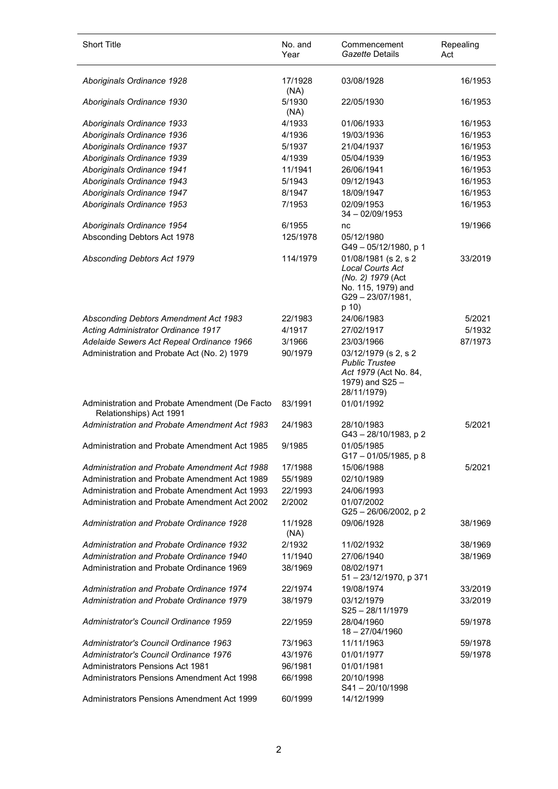| <b>Short Title</b>                                                                     | No. and<br>Year    | Commencement<br>Gazette Details                                                                                        | Repealing<br>Act |
|----------------------------------------------------------------------------------------|--------------------|------------------------------------------------------------------------------------------------------------------------|------------------|
| Aboriginals Ordinance 1928                                                             | 17/1928<br>(NA)    | 03/08/1928                                                                                                             | 16/1953          |
| Aboriginals Ordinance 1930                                                             | 5/1930<br>(NA)     | 22/05/1930                                                                                                             | 16/1953          |
| Aboriginals Ordinance 1933                                                             | 4/1933             | 01/06/1933                                                                                                             | 16/1953          |
| Aboriginals Ordinance 1936                                                             | 4/1936             | 19/03/1936                                                                                                             | 16/1953          |
| Aboriginals Ordinance 1937                                                             | 5/1937             | 21/04/1937                                                                                                             | 16/1953          |
| Aboriginals Ordinance 1939                                                             | 4/1939             | 05/04/1939                                                                                                             | 16/1953          |
| Aboriginals Ordinance 1941                                                             | 11/1941            | 26/06/1941                                                                                                             | 16/1953          |
| Aboriginals Ordinance 1943                                                             | 5/1943             | 09/12/1943                                                                                                             | 16/1953          |
| Aboriginals Ordinance 1947                                                             | 8/1947             | 18/09/1947                                                                                                             | 16/1953          |
| Aboriginals Ordinance 1953                                                             | 7/1953             | 02/09/1953<br>$34 - 02/09/1953$                                                                                        | 16/1953          |
| Aboriginals Ordinance 1954                                                             | 6/1955             | nc                                                                                                                     | 19/1966          |
| Absconding Debtors Act 1978                                                            | 125/1978           | 05/12/1980<br>G49-05/12/1980, p 1                                                                                      |                  |
| Absconding Debtors Act 1979                                                            | 114/1979           | 01/08/1981 (s 2, s 2<br><b>Local Courts Act</b><br>(No. 2) 1979 (Act<br>No. 115, 1979) and<br>G29-23/07/1981,<br>p 10) | 33/2019          |
| Absconding Debtors Amendment Act 1983                                                  | 22/1983            | 24/06/1983                                                                                                             | 5/2021           |
| Acting Administrator Ordinance 1917                                                    | 4/1917             | 27/02/1917                                                                                                             | 5/1932           |
| Adelaide Sewers Act Repeal Ordinance 1966                                              | 3/1966             | 23/03/1966                                                                                                             | 87/1973          |
| Administration and Probate Act (No. 2) 1979                                            | 90/1979            | 03/12/1979 (s 2, s 2<br><b>Public Trustee</b><br>Act 1979 (Act No. 84,<br>1979) and S25-<br>28/11/1979)                |                  |
| Administration and Probate Amendment (De Facto<br>Relationships) Act 1991              | 83/1991            | 01/01/1992                                                                                                             |                  |
| Administration and Probate Amendment Act 1983                                          | 24/1983            | 28/10/1983<br>G43-28/10/1983, p2                                                                                       | 5/2021           |
| Administration and Probate Amendment Act 1985                                          | 9/1985             | 01/05/1985<br>G17-01/05/1985, p8                                                                                       |                  |
| Administration and Probate Amendment Act 1988                                          | 17/1988            | 15/06/1988                                                                                                             | 5/2021           |
| Administration and Probate Amendment Act 1989                                          | 55/1989            | 02/10/1989                                                                                                             |                  |
| Administration and Probate Amendment Act 1993                                          | 22/1993            | 24/06/1993                                                                                                             |                  |
| Administration and Probate Amendment Act 2002                                          | 2/2002             | 01/07/2002<br>G25-26/06/2002, p2                                                                                       |                  |
| Administration and Probate Ordinance 1928                                              | 11/1928<br>(NA)    | 09/06/1928                                                                                                             | 38/1969          |
| <b>Administration and Probate Ordinance 1932</b>                                       | 2/1932             | 11/02/1932                                                                                                             | 38/1969          |
| Administration and Probate Ordinance 1940<br>Administration and Probate Ordinance 1969 | 11/1940<br>38/1969 | 27/06/1940<br>08/02/1971                                                                                               | 38/1969          |
|                                                                                        |                    | 51 - 23/12/1970, p 371                                                                                                 |                  |
| Administration and Probate Ordinance 1974                                              | 22/1974            | 19/08/1974                                                                                                             | 33/2019          |
| Administration and Probate Ordinance 1979                                              | 38/1979            | 03/12/1979<br>$S25 - 28/11/1979$                                                                                       | 33/2019          |
| Administrator's Council Ordinance 1959                                                 | 22/1959            | 28/04/1960<br>18 - 27/04/1960                                                                                          | 59/1978          |
| Administrator's Council Ordinance 1963                                                 | 73/1963            | 11/11/1963                                                                                                             | 59/1978          |
| Administrator's Council Ordinance 1976                                                 | 43/1976            | 01/01/1977                                                                                                             | 59/1978          |
| <b>Administrators Pensions Act 1981</b>                                                | 96/1981            | 01/01/1981                                                                                                             |                  |
| Administrators Pensions Amendment Act 1998                                             | 66/1998            | 20/10/1998<br>$S41 - 20/10/1998$                                                                                       |                  |
| Administrators Pensions Amendment Act 1999                                             | 60/1999            | 14/12/1999                                                                                                             |                  |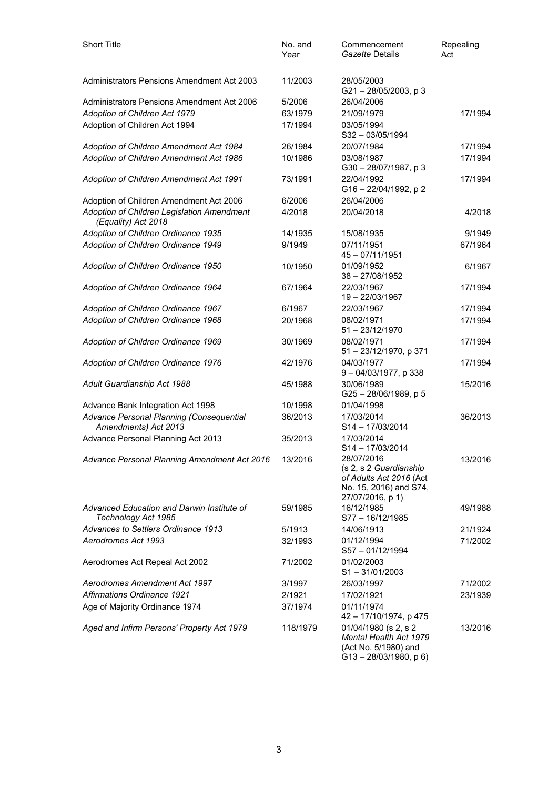| <b>Short Title</b>                                                | No. and<br>Year | Commencement<br>Gazette Details                                                                               | Repealing<br>Act |
|-------------------------------------------------------------------|-----------------|---------------------------------------------------------------------------------------------------------------|------------------|
| <b>Administrators Pensions Amendment Act 2003</b>                 | 11/2003         | 28/05/2003<br>G21-28/05/2003, p3                                                                              |                  |
| Administrators Pensions Amendment Act 2006                        | 5/2006          | 26/04/2006                                                                                                    |                  |
| Adoption of Children Act 1979                                     | 63/1979         | 21/09/1979                                                                                                    | 17/1994          |
| Adoption of Children Act 1994                                     | 17/1994         | 03/05/1994<br>S32-03/05/1994                                                                                  |                  |
| Adoption of Children Amendment Act 1984                           | 26/1984         | 20/07/1984                                                                                                    | 17/1994          |
| Adoption of Children Amendment Act 1986                           | 10/1986         | 03/08/1987<br>G30-28/07/1987, p3                                                                              | 17/1994          |
| Adoption of Children Amendment Act 1991                           | 73/1991         | 22/04/1992<br>G16-22/04/1992, p2                                                                              | 17/1994          |
| Adoption of Children Amendment Act 2006                           | 6/2006          | 26/04/2006                                                                                                    |                  |
| Adoption of Children Legislation Amendment<br>(Equality) Act 2018 | 4/2018          | 20/04/2018                                                                                                    | 4/2018           |
| Adoption of Children Ordinance 1935                               | 14/1935         | 15/08/1935                                                                                                    | 9/1949           |
| Adoption of Children Ordinance 1949                               | 9/1949          | 07/11/1951<br>45 - 07/11/1951                                                                                 | 67/1964          |
| Adoption of Children Ordinance 1950                               | 10/1950         | 01/09/1952<br>$38 - 27/08/1952$                                                                               | 6/1967           |
| Adoption of Children Ordinance 1964                               | 67/1964         | 22/03/1967<br>19-22/03/1967                                                                                   | 17/1994          |
| Adoption of Children Ordinance 1967                               | 6/1967          | 22/03/1967                                                                                                    | 17/1994          |
| Adoption of Children Ordinance 1968                               | 20/1968         | 08/02/1971<br>$51 - 23/12/1970$                                                                               | 17/1994          |
| Adoption of Children Ordinance 1969                               | 30/1969         | 08/02/1971<br>51 - 23/12/1970, p 371                                                                          | 17/1994          |
| Adoption of Children Ordinance 1976                               | 42/1976         | 04/03/1977<br>9-04/03/1977, p 338                                                                             | 17/1994          |
| Adult Guardianship Act 1988                                       | 45/1988         | 30/06/1989<br>G25-28/06/1989, p 5                                                                             | 15/2016          |
| Advance Bank Integration Act 1998                                 | 10/1998         | 01/04/1998                                                                                                    |                  |
| Advance Personal Planning (Consequential<br>Amendments) Act 2013  | 36/2013         | 17/03/2014<br>S14-17/03/2014                                                                                  | 36/2013          |
| Advance Personal Planning Act 2013                                | 35/2013         | 17/03/2014<br>$S14 - 17/03/2014$                                                                              |                  |
| Advance Personal Planning Amendment Act 2016                      | 13/2016         | 28/07/2016<br>(s 2, s 2 Guardianship<br>of Adults Act 2016 (Act<br>No. 15, 2016) and S74,<br>27/07/2016, p 1) | 13/2016          |
| Advanced Education and Darwin Institute of<br>Technology Act 1985 | 59/1985         | 16/12/1985<br>S77-16/12/1985                                                                                  | 49/1988          |
| Advances to Settlers Ordinance 1913                               | 5/1913          | 14/06/1913                                                                                                    | 21/1924          |
| Aerodromes Act 1993                                               | 32/1993         | 01/12/1994<br>S57-01/12/1994                                                                                  | 71/2002          |
| Aerodromes Act Repeal Act 2002                                    | 71/2002         | 01/02/2003<br>$S1 - 31/01/2003$                                                                               |                  |
| Aerodromes Amendment Act 1997                                     | 3/1997          | 26/03/1997                                                                                                    | 71/2002          |
| <b>Affirmations Ordinance 1921</b>                                | 2/1921          | 17/02/1921                                                                                                    | 23/1939          |
| Age of Majority Ordinance 1974                                    | 37/1974         | 01/11/1974<br>42 - 17/10/1974, p 475                                                                          |                  |
| Aged and Infirm Persons' Property Act 1979                        | 118/1979        | 01/04/1980 (s 2, s 2)<br>Mental Health Act 1979<br>(Act No. 5/1980) and<br>$G13 - 28/03/1980$ , p 6)          | 13/2016          |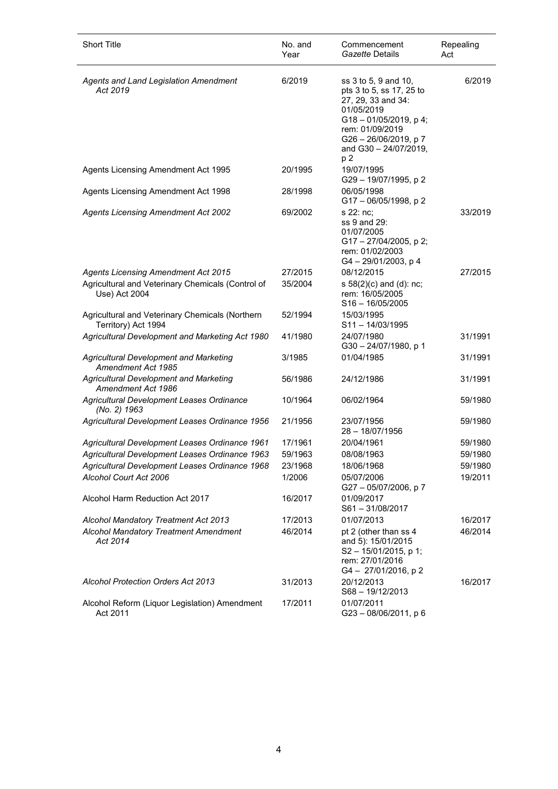| <b>Short Title</b>                                                     | No. and<br>Year | Commencement<br>Gazette Details                                                                                                                                                               | Repealing<br>Act |
|------------------------------------------------------------------------|-----------------|-----------------------------------------------------------------------------------------------------------------------------------------------------------------------------------------------|------------------|
| Agents and Land Legislation Amendment<br>Act 2019                      | 6/2019          | ss 3 to 5, 9 and 10,<br>pts 3 to 5, ss 17, 25 to<br>27, 29, 33 and 34:<br>01/05/2019<br>$G18 - 01/05/2019$ , p 4;<br>rem: 01/09/2019<br>G26 - 26/06/2019, p 7<br>and G30 - 24/07/2019,<br>p 2 | 6/2019           |
| Agents Licensing Amendment Act 1995                                    | 20/1995         | 19/07/1995<br>G29-19/07/1995, p2                                                                                                                                                              |                  |
| Agents Licensing Amendment Act 1998                                    | 28/1998         | 06/05/1998<br>G17 - 06/05/1998, p 2                                                                                                                                                           |                  |
| <b>Agents Licensing Amendment Act 2002</b>                             | 69/2002         | s 22: nc:<br>ss 9 and 29:<br>01/07/2005<br>G17-27/04/2005, p2;<br>rem: 01/02/2003<br>G4-29/01/2003, p4                                                                                        | 33/2019          |
| <b>Agents Licensing Amendment Act 2015</b>                             | 27/2015         | 08/12/2015                                                                                                                                                                                    | 27/2015          |
| Agricultural and Veterinary Chemicals (Control of<br>Use) Act 2004     | 35/2004         | s 58(2)(c) and (d): nc;<br>rem: 16/05/2005<br>$S16 - 16/05/2005$                                                                                                                              |                  |
| Agricultural and Veterinary Chemicals (Northern<br>Territory) Act 1994 | 52/1994         | 15/03/1995<br>$S11 - 14/03/1995$                                                                                                                                                              |                  |
| Agricultural Development and Marketing Act 1980                        | 41/1980         | 24/07/1980<br>G30-24/07/1980, p 1                                                                                                                                                             | 31/1991          |
| <b>Agricultural Development and Marketing</b><br>Amendment Act 1985    | 3/1985          | 01/04/1985                                                                                                                                                                                    | 31/1991          |
| <b>Agricultural Development and Marketing</b><br>Amendment Act 1986    | 56/1986         | 24/12/1986                                                                                                                                                                                    | 31/1991          |
| Agricultural Development Leases Ordinance<br>(No. 2) 1963              | 10/1964         | 06/02/1964                                                                                                                                                                                    | 59/1980          |
| Agricultural Development Leases Ordinance 1956                         | 21/1956         | 23/07/1956<br>28 - 18/07/1956                                                                                                                                                                 | 59/1980          |
| Agricultural Development Leases Ordinance 1961                         | 17/1961         | 20/04/1961                                                                                                                                                                                    | 59/1980          |
| Agricultural Development Leases Ordinance 1963                         | 59/1963         | 08/08/1963                                                                                                                                                                                    | 59/1980          |
| Agricultural Development Leases Ordinance 1968                         | 23/1968         | 18/06/1968                                                                                                                                                                                    | 59/1980          |
| Alcohol Court Act 2006                                                 | 1/2006          | 05/07/2006<br>G27-05/07/2006, p7                                                                                                                                                              | 19/2011          |
| Alcohol Harm Reduction Act 2017                                        | 16/2017         | 01/09/2017<br>$S61 - 31/08/2017$                                                                                                                                                              |                  |
| Alcohol Mandatory Treatment Act 2013                                   | 17/2013         | 01/07/2013                                                                                                                                                                                    | 16/2017          |
| <b>Alcohol Mandatory Treatment Amendment</b><br>Act 2014               | 46/2014         | pt 2 (other than ss 4<br>and 5): 15/01/2015<br>$S2 - 15/01/2015$ , p 1;<br>rem: 27/01/2016<br>G4-27/01/2016, p2                                                                               | 46/2014          |
| <b>Alcohol Protection Orders Act 2013</b>                              | 31/2013         | 20/12/2013<br>S68-19/12/2013                                                                                                                                                                  | 16/2017          |
| Alcohol Reform (Liquor Legislation) Amendment<br>Act 2011              | 17/2011         | 01/07/2011<br>G23-08/06/2011, p 6                                                                                                                                                             |                  |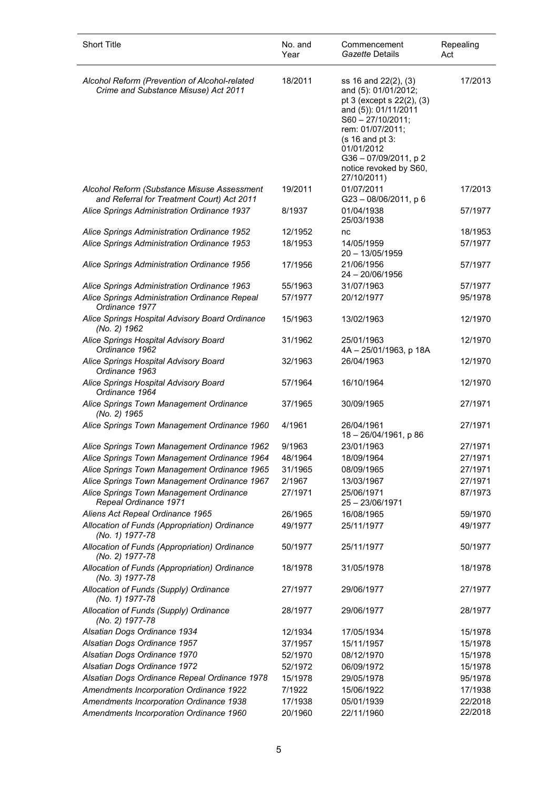| <b>Short Title</b>                                                                        | No. and<br>Year | Commencement<br>Gazette Details                                                                                                                                                                                                                      | Repealing<br>Act |
|-------------------------------------------------------------------------------------------|-----------------|------------------------------------------------------------------------------------------------------------------------------------------------------------------------------------------------------------------------------------------------------|------------------|
| Alcohol Reform (Prevention of Alcohol-related<br>Crime and Substance Misuse) Act 2011     | 18/2011         | ss 16 and 22(2), (3)<br>and (5): 01/01/2012;<br>pt 3 (except s 22(2), (3)<br>and (5)): 01/11/2011<br>$S60 - 27/10/2011;$<br>rem: 01/07/2011;<br>$(s 16$ and pt $3$ :<br>01/01/2012<br>G36 - 07/09/2011, p 2<br>notice revoked by S60,<br>27/10/2011) | 17/2013          |
| Alcohol Reform (Substance Misuse Assessment<br>and Referral for Treatment Court) Act 2011 | 19/2011         | 01/07/2011<br>$G23 - 08/06/2011$ , p 6                                                                                                                                                                                                               | 17/2013          |
| Alice Springs Administration Ordinance 1937                                               | 8/1937          | 01/04/1938<br>25/03/1938                                                                                                                                                                                                                             | 57/1977          |
| Alice Springs Administration Ordinance 1952                                               | 12/1952         | nc                                                                                                                                                                                                                                                   | 18/1953          |
| Alice Springs Administration Ordinance 1953                                               | 18/1953         | 14/05/1959<br>$20 - 13/05/1959$                                                                                                                                                                                                                      | 57/1977          |
| Alice Springs Administration Ordinance 1956                                               | 17/1956         | 21/06/1956<br>24 - 20/06/1956                                                                                                                                                                                                                        | 57/1977          |
| Alice Springs Administration Ordinance 1963                                               | 55/1963         | 31/07/1963                                                                                                                                                                                                                                           | 57/1977          |
| Alice Springs Administration Ordinance Repeal<br>Ordinance 1977                           | 57/1977         | 20/12/1977                                                                                                                                                                                                                                           | 95/1978          |
| Alice Springs Hospital Advisory Board Ordinance<br>(No. 2) 1962                           | 15/1963         | 13/02/1963                                                                                                                                                                                                                                           | 12/1970          |
| Alice Springs Hospital Advisory Board<br>Ordinance 1962                                   | 31/1962         | 25/01/1963<br>4A - 25/01/1963, p 18A                                                                                                                                                                                                                 | 12/1970          |
| Alice Springs Hospital Advisory Board<br>Ordinance 1963                                   | 32/1963         | 26/04/1963                                                                                                                                                                                                                                           | 12/1970          |
| Alice Springs Hospital Advisory Board<br>Ordinance 1964                                   | 57/1964         | 16/10/1964                                                                                                                                                                                                                                           | 12/1970          |
| Alice Springs Town Management Ordinance<br>(No. 2) 1965                                   | 37/1965         | 30/09/1965                                                                                                                                                                                                                                           | 27/1971          |
| Alice Springs Town Management Ordinance 1960                                              | 4/1961          | 26/04/1961<br>18 - 26/04/1961, p 86                                                                                                                                                                                                                  | 27/1971          |
| Alice Springs Town Management Ordinance 1962                                              | 9/1963          | 23/01/1963                                                                                                                                                                                                                                           | 27/1971          |
| Alice Springs Town Management Ordinance 1964                                              | 48/1964         | 18/09/1964                                                                                                                                                                                                                                           | 27/1971          |
| Alice Springs Town Management Ordinance 1965                                              | 31/1965         | 08/09/1965                                                                                                                                                                                                                                           | 27/1971          |
| Alice Springs Town Management Ordinance 1967                                              | 2/1967          | 13/03/1967                                                                                                                                                                                                                                           | 27/1971          |
| Alice Springs Town Management Ordinance<br>Repeal Ordinance 1971                          | 27/1971         | 25/06/1971<br>$25 - 23/06/1971$                                                                                                                                                                                                                      | 87/1973          |
| Aliens Act Repeal Ordinance 1965                                                          | 26/1965         | 16/08/1965                                                                                                                                                                                                                                           | 59/1970          |
| Allocation of Funds (Appropriation) Ordinance<br>(No. 1) 1977-78                          | 49/1977         | 25/11/1977                                                                                                                                                                                                                                           | 49/1977          |
| Allocation of Funds (Appropriation) Ordinance<br>(No. 2) 1977-78                          | 50/1977         | 25/11/1977                                                                                                                                                                                                                                           | 50/1977          |
| Allocation of Funds (Appropriation) Ordinance<br>(No. 3) 1977-78                          | 18/1978         | 31/05/1978                                                                                                                                                                                                                                           | 18/1978          |
| Allocation of Funds (Supply) Ordinance<br>(No. 1) 1977-78                                 | 27/1977         | 29/06/1977                                                                                                                                                                                                                                           | 27/1977          |
| Allocation of Funds (Supply) Ordinance<br>(No. 2) 1977-78                                 | 28/1977         | 29/06/1977                                                                                                                                                                                                                                           | 28/1977          |
| Alsatian Dogs Ordinance 1934                                                              | 12/1934         | 17/05/1934                                                                                                                                                                                                                                           | 15/1978          |
| Alsatian Dogs Ordinance 1957                                                              | 37/1957         | 15/11/1957                                                                                                                                                                                                                                           | 15/1978          |
| Alsatian Dogs Ordinance 1970                                                              | 52/1970         | 08/12/1970                                                                                                                                                                                                                                           | 15/1978          |
| Alsatian Dogs Ordinance 1972                                                              | 52/1972         | 06/09/1972                                                                                                                                                                                                                                           | 15/1978          |
| Alsatian Dogs Ordinance Repeal Ordinance 1978                                             | 15/1978         | 29/05/1978                                                                                                                                                                                                                                           | 95/1978          |
| Amendments Incorporation Ordinance 1922                                                   | 7/1922          | 15/06/1922                                                                                                                                                                                                                                           | 17/1938          |
| Amendments Incorporation Ordinance 1938                                                   | 17/1938         | 05/01/1939                                                                                                                                                                                                                                           | 22/2018          |
| Amendments Incorporation Ordinance 1960                                                   | 20/1960         | 22/11/1960                                                                                                                                                                                                                                           | 22/2018          |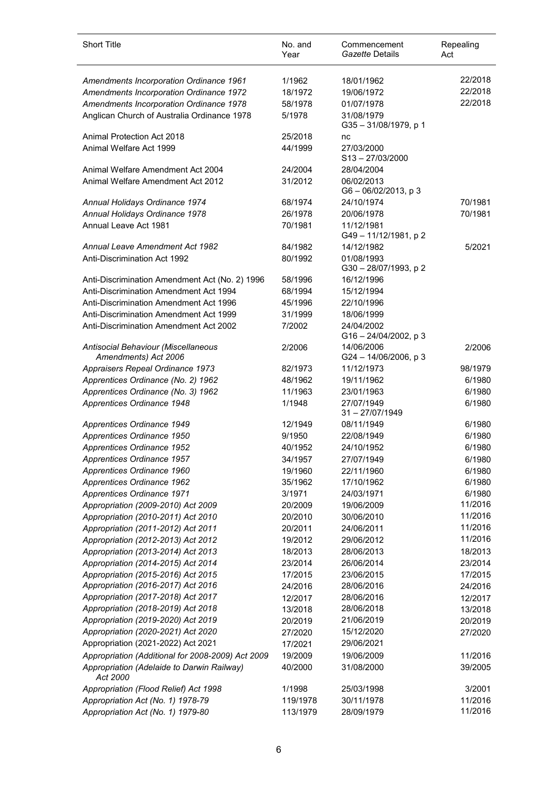| <b>Short Title</b>                                          | No. and<br>Year    | Commencement<br>Gazette Details          | Repealing<br>Act |
|-------------------------------------------------------------|--------------------|------------------------------------------|------------------|
| Amendments Incorporation Ordinance 1961                     | 1/1962             | 18/01/1962                               | 22/2018          |
| Amendments Incorporation Ordinance 1972                     | 18/1972            | 19/06/1972                               | 22/2018          |
| Amendments Incorporation Ordinance 1978                     | 58/1978            | 01/07/1978                               | 22/2018          |
| Anglican Church of Australia Ordinance 1978                 | 5/1978             | 31/08/1979<br>G35-31/08/1979, p 1        |                  |
| Animal Protection Act 2018                                  | 25/2018            | nc                                       |                  |
| Animal Welfare Act 1999                                     | 44/1999            | 27/03/2000<br>$S13 - 27/03/2000$         |                  |
| Animal Welfare Amendment Act 2004                           | 24/2004            | 28/04/2004                               |                  |
| Animal Welfare Amendment Act 2012                           | 31/2012            | 06/02/2013<br>G6-06/02/2013, p3          |                  |
| Annual Holidays Ordinance 1974                              | 68/1974            | 24/10/1974                               | 70/1981          |
| Annual Holidays Ordinance 1978                              | 26/1978            | 20/06/1978                               | 70/1981          |
| Annual Leave Act 1981                                       | 70/1981            | 11/12/1981<br>G49-11/12/1981, p2         |                  |
| Annual Leave Amendment Act 1982                             | 84/1982            | 14/12/1982                               | 5/2021           |
| <b>Anti-Discrimination Act 1992</b>                         | 80/1992            | 01/08/1993<br>G30 - 28/07/1993, p 2      |                  |
| Anti-Discrimination Amendment Act (No. 2) 1996              | 58/1996            | 16/12/1996                               |                  |
| Anti-Discrimination Amendment Act 1994                      | 68/1994            | 15/12/1994                               |                  |
| Anti-Discrimination Amendment Act 1996                      | 45/1996            | 22/10/1996                               |                  |
| Anti-Discrimination Amendment Act 1999                      | 31/1999            | 18/06/1999                               |                  |
| Anti-Discrimination Amendment Act 2002                      | 7/2002             | 24/04/2002<br>$G16 - 24/04/2002$ , p 3   |                  |
| Antisocial Behaviour (Miscellaneous<br>Amendments) Act 2006 | 2/2006             | 14/06/2006<br>G24-14/06/2006, p3         | 2/2006           |
| Appraisers Repeal Ordinance 1973                            | 82/1973            | 11/12/1973                               | 98/1979          |
| Apprentices Ordinance (No. 2) 1962                          | 48/1962            | 19/11/1962                               | 6/1980           |
| Apprentices Ordinance (No. 3) 1962                          | 11/1963            | 23/01/1963                               | 6/1980           |
| Apprentices Ordinance 1948                                  | 1/1948             | 27/07/1949<br>$31 - \frac{27}{07}$ /1949 | 6/1980           |
| Apprentices Ordinance 1949                                  | 12/1949            | 08/11/1949                               | 6/1980           |
| Apprentices Ordinance 1950                                  | 9/1950             | 22/08/1949                               | 6/1980           |
| Apprentices Ordinance 1952                                  | 40/1952            | 24/10/1952                               | 6/1980           |
| Apprentices Ordinance 1957                                  | 34/1957            | 27/07/1949                               | 6/1980           |
| Apprentices Ordinance 1960<br>Apprentices Ordinance 1962    | 19/1960<br>35/1962 | 22/11/1960                               | 6/1980<br>6/1980 |
| Apprentices Ordinance 1971                                  | 3/1971             | 17/10/1962<br>24/03/1971                 | 6/1980           |
| Appropriation (2009-2010) Act 2009                          | 20/2009            | 19/06/2009                               | 11/2016          |
| Appropriation (2010-2011) Act 2010                          | 20/2010            | 30/06/2010                               | 11/2016          |
| Appropriation (2011-2012) Act 2011                          | 20/2011            | 24/06/2011                               | 11/2016          |
| Appropriation (2012-2013) Act 2012                          | 19/2012            | 29/06/2012                               | 11/2016          |
| Appropriation (2013-2014) Act 2013                          | 18/2013            | 28/06/2013                               | 18/2013          |
| Appropriation (2014-2015) Act 2014                          | 23/2014            | 26/06/2014                               | 23/2014          |
| Appropriation (2015-2016) Act 2015                          | 17/2015            | 23/06/2015                               | 17/2015          |
| Appropriation (2016-2017) Act 2016                          | 24/2016            | 28/06/2016                               | 24/2016          |
| Appropriation (2017-2018) Act 2017                          | 12/2017            | 28/06/2016                               | 12/2017          |
| Appropriation (2018-2019) Act 2018                          | 13/2018            | 28/06/2018                               | 13/2018          |
| Appropriation (2019-2020) Act 2019                          | 20/2019            | 21/06/2019                               | 20/2019          |
| Appropriation (2020-2021) Act 2020                          | 27/2020            | 15/12/2020                               | 27/2020          |
| Appropriation (2021-2022) Act 2021                          | 17/2021            | 29/06/2021                               |                  |
| Appropriation (Additional for 2008-2009) Act 2009           | 19/2009            | 19/06/2009                               | 11/2016          |
| Appropriation (Adelaide to Darwin Railway)<br>Act 2000      | 40/2000            | 31/08/2000                               | 39/2005          |
| Appropriation (Flood Relief) Act 1998                       | 1/1998             | 25/03/1998                               | 3/2001           |
| Appropriation Act (No. 1) 1978-79                           | 119/1978           | 30/11/1978                               | 11/2016          |
| Appropriation Act (No. 1) 1979-80                           | 113/1979           | 28/09/1979                               | 11/2016          |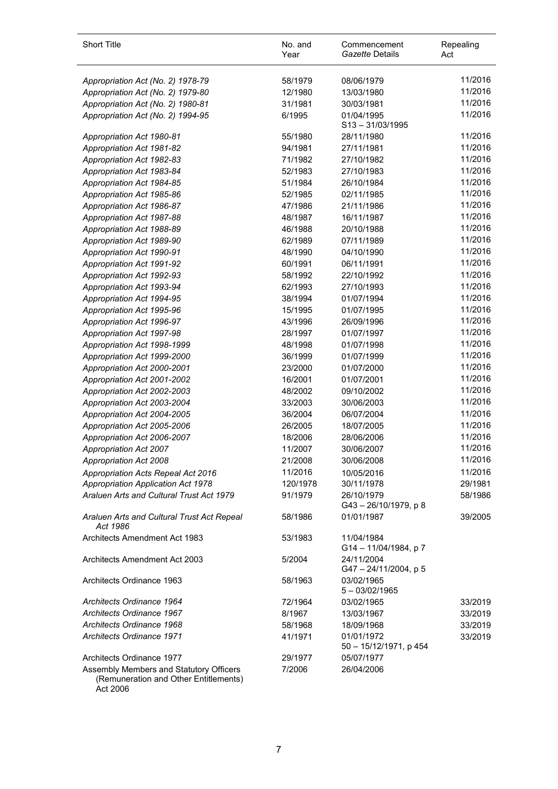| <b>Short Title</b>                                                                           | No. and<br>Year | Commencement<br>Gazette Details      | Repealing<br>Act |
|----------------------------------------------------------------------------------------------|-----------------|--------------------------------------|------------------|
| Appropriation Act (No. 2) 1978-79                                                            | 58/1979         | 08/06/1979                           | 11/2016          |
| Appropriation Act (No. 2) 1979-80                                                            | 12/1980         | 13/03/1980                           | 11/2016          |
| Appropriation Act (No. 2) 1980-81                                                            | 31/1981         | 30/03/1981                           | 11/2016          |
| Appropriation Act (No. 2) 1994-95                                                            | 6/1995          | 01/04/1995<br>$S13 - 31/03/1995$     | 11/2016          |
| Appropriation Act 1980-81                                                                    | 55/1980         | 28/11/1980                           | 11/2016          |
| Appropriation Act 1981-82                                                                    | 94/1981         | 27/11/1981                           | 11/2016          |
| Appropriation Act 1982-83                                                                    | 71/1982         | 27/10/1982                           | 11/2016          |
| Appropriation Act 1983-84                                                                    | 52/1983         | 27/10/1983                           | 11/2016          |
| Appropriation Act 1984-85                                                                    | 51/1984         | 26/10/1984                           | 11/2016          |
| Appropriation Act 1985-86                                                                    | 52/1985         | 02/11/1985                           | 11/2016          |
| Appropriation Act 1986-87                                                                    | 47/1986         | 21/11/1986                           | 11/2016          |
| Appropriation Act 1987-88                                                                    | 48/1987         | 16/11/1987                           | 11/2016          |
| Appropriation Act 1988-89                                                                    | 46/1988         | 20/10/1988                           | 11/2016          |
| Appropriation Act 1989-90                                                                    | 62/1989         | 07/11/1989                           | 11/2016          |
| Appropriation Act 1990-91                                                                    | 48/1990         | 04/10/1990                           | 11/2016          |
| Appropriation Act 1991-92                                                                    | 60/1991         | 06/11/1991                           | 11/2016          |
| Appropriation Act 1992-93                                                                    | 58/1992         | 22/10/1992                           | 11/2016          |
| Appropriation Act 1993-94                                                                    | 62/1993         | 27/10/1993                           | 11/2016          |
| Appropriation Act 1994-95                                                                    | 38/1994         | 01/07/1994                           | 11/2016          |
| Appropriation Act 1995-96                                                                    | 15/1995         | 01/07/1995                           | 11/2016          |
| Appropriation Act 1996-97                                                                    | 43/1996         | 26/09/1996                           | 11/2016          |
| Appropriation Act 1997-98                                                                    | 28/1997         | 01/07/1997                           | 11/2016          |
| Appropriation Act 1998-1999                                                                  | 48/1998         | 01/07/1998                           | 11/2016          |
| Appropriation Act 1999-2000                                                                  | 36/1999         | 01/07/1999                           | 11/2016          |
| Appropriation Act 2000-2001                                                                  | 23/2000         | 01/07/2000                           | 11/2016          |
| Appropriation Act 2001-2002                                                                  | 16/2001         | 01/07/2001                           | 11/2016          |
| Appropriation Act 2002-2003                                                                  | 48/2002         | 09/10/2002                           | 11/2016          |
| Appropriation Act 2003-2004                                                                  | 33/2003         | 30/06/2003                           | 11/2016          |
| Appropriation Act 2004-2005                                                                  | 36/2004         | 06/07/2004                           | 11/2016          |
| Appropriation Act 2005-2006                                                                  | 26/2005         | 18/07/2005                           | 11/2016          |
| Appropriation Act 2006-2007                                                                  | 18/2006         | 28/06/2006                           | 11/2016          |
| <b>Appropriation Act 2007</b>                                                                | 11/2007         | 30/06/2007                           | 11/2016          |
| Appropriation Act 2008                                                                       | 21/2008         | 30/06/2008                           | 11/2016          |
| Appropriation Acts Repeal Act 2016                                                           | 11/2016         | 10/05/2016                           | 11/2016          |
| <b>Appropriation Application Act 1978</b>                                                    | 120/1978        | 30/11/1978                           | 29/1981          |
| Araluen Arts and Cultural Trust Act 1979                                                     | 91/1979         | 26/10/1979<br>G43-26/10/1979, p 8    | 58/1986          |
| Araluen Arts and Cultural Trust Act Repeal<br>Act 1986                                       | 58/1986         | 01/01/1987                           | 39/2005          |
| <b>Architects Amendment Act 1983</b>                                                         | 53/1983         | 11/04/1984<br>G14 - 11/04/1984, p 7  |                  |
| Architects Amendment Act 2003                                                                | 5/2004          | 24/11/2004<br>G47-24/11/2004, p 5    |                  |
| Architects Ordinance 1963                                                                    | 58/1963         | 03/02/1965<br>$5 - 03/02/1965$       |                  |
| Architects Ordinance 1964                                                                    | 72/1964         | 03/02/1965                           | 33/2019          |
| Architects Ordinance 1967                                                                    | 8/1967          | 13/03/1967                           | 33/2019          |
| Architects Ordinance 1968                                                                    | 58/1968         | 18/09/1968                           | 33/2019          |
| <b>Architects Ordinance 1971</b>                                                             | 41/1971         | 01/01/1972<br>50 - 15/12/1971, p 454 | 33/2019          |
| Architects Ordinance 1977                                                                    | 29/1977         | 05/07/1977                           |                  |
| Assembly Members and Statutory Officers<br>(Remuneration and Other Entitlements)<br>Act 2006 | 7/2006          | 26/04/2006                           |                  |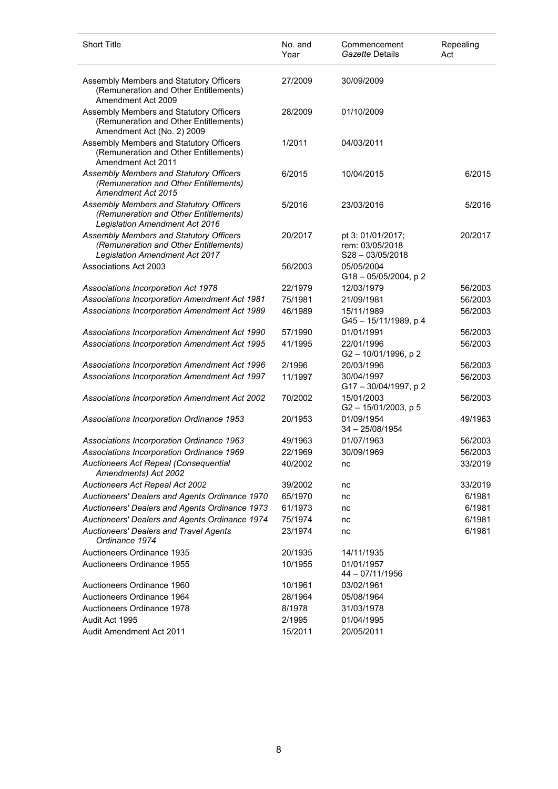| <b>Short Title</b>                                                                                                 | No. and<br>Year | Commencement<br>Gazette Details                            | Repealing<br>Act |
|--------------------------------------------------------------------------------------------------------------------|-----------------|------------------------------------------------------------|------------------|
| Assembly Members and Statutory Officers<br>(Remuneration and Other Entitlements)<br>Amendment Act 2009             | 27/2009         | 30/09/2009                                                 |                  |
| Assembly Members and Statutory Officers<br>(Remuneration and Other Entitlements)<br>Amendment Act (No. 2) 2009     | 28/2009         | 01/10/2009                                                 |                  |
| Assembly Members and Statutory Officers<br>(Remuneration and Other Entitlements)<br>Amendment Act 2011             | 1/2011          | 04/03/2011                                                 |                  |
| Assembly Members and Statutory Officers<br>(Remuneration and Other Entitlements)<br>Amendment Act 2015             | 6/2015          | 10/04/2015                                                 | 6/2015           |
| Assembly Members and Statutory Officers<br>(Remuneration and Other Entitlements)<br>Legislation Amendment Act 2016 | 5/2016          | 23/03/2016                                                 | 5/2016           |
| Assembly Members and Statutory Officers<br>(Remuneration and Other Entitlements)<br>Legislation Amendment Act 2017 | 20/2017         | pt 3: 01/01/2017;<br>rem: 03/05/2018<br>$S28 - 03/05/2018$ | 20/2017          |
| Associations Act 2003                                                                                              | 56/2003         | 05/05/2004<br>$G18 - 05/05/2004$ , p 2                     |                  |
| Associations Incorporation Act 1978                                                                                | 22/1979         | 12/03/1979                                                 | 56/2003          |
| Associations Incorporation Amendment Act 1981                                                                      | 75/1981         | 21/09/1981                                                 | 56/2003          |
| Associations Incorporation Amendment Act 1989                                                                      | 46/1989         | 15/11/1989<br>G45-15/11/1989, p 4                          | 56/2003          |
| Associations Incorporation Amendment Act 1990                                                                      | 57/1990         | 01/01/1991                                                 | 56/2003          |
| Associations Incorporation Amendment Act 1995                                                                      | 41/1995         | 22/01/1996<br>G2-10/01/1996, p2                            | 56/2003          |
| Associations Incorporation Amendment Act 1996                                                                      | 2/1996          | 20/03/1996                                                 | 56/2003          |
| Associations Incorporation Amendment Act 1997                                                                      | 11/1997         | 30/04/1997<br>G17-30/04/1997, p2                           | 56/2003          |
| Associations Incorporation Amendment Act 2002                                                                      | 70/2002         | 15/01/2003<br>$G2 - 15/01/2003$ , p 5                      | 56/2003          |
| Associations Incorporation Ordinance 1953                                                                          | 20/1953         | 01/09/1954<br>$34 - 25/08/1954$                            | 49/1963          |
| Associations Incorporation Ordinance 1963                                                                          | 49/1963         | 01/07/1963                                                 | 56/2003          |
| Associations Incorporation Ordinance 1969                                                                          | 22/1969         | 30/09/1969                                                 | 56/2003          |
| Auctioneers Act Repeal (Consequential<br>Amendments) Act 2002                                                      | 40/2002         | nc                                                         | 33/2019          |
| Auctioneers Act Repeal Act 2002                                                                                    | 39/2002         | nc                                                         | 33/2019          |
| Auctioneers' Dealers and Agents Ordinance 1970                                                                     | 65/1970         | nc                                                         | 6/1981           |
| Auctioneers' Dealers and Agents Ordinance 1973                                                                     | 61/1973         | nc                                                         | 6/1981           |
| Auctioneers' Dealers and Agents Ordinance 1974                                                                     | 75/1974         | nc                                                         | 6/1981           |
| <b>Auctioneers' Dealers and Travel Agents</b><br>Ordinance 1974                                                    | 23/1974         | nc                                                         | 6/1981           |
| Auctioneers Ordinance 1935                                                                                         | 20/1935         | 14/11/1935                                                 |                  |
| Auctioneers Ordinance 1955                                                                                         | 10/1955         | 01/01/1957<br>44 - 07/11/1956                              |                  |
| Auctioneers Ordinance 1960                                                                                         | 10/1961         | 03/02/1961                                                 |                  |
| Auctioneers Ordinance 1964                                                                                         | 28/1964         | 05/08/1964                                                 |                  |
| <b>Auctioneers Ordinance 1978</b>                                                                                  | 8/1978          | 31/03/1978                                                 |                  |
| Audit Act 1995                                                                                                     | 2/1995          | 01/04/1995                                                 |                  |
| Audit Amendment Act 2011                                                                                           | 15/2011         | 20/05/2011                                                 |                  |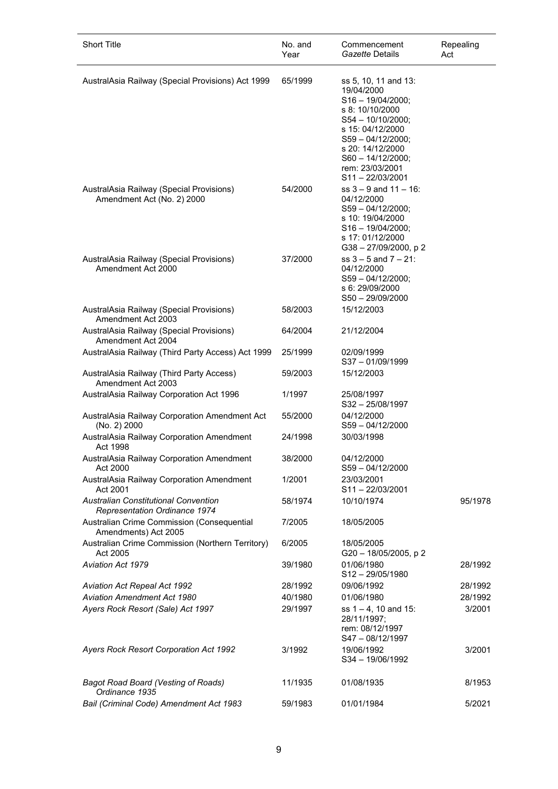| <b>Short Title</b>                                                           | No. and<br>Year | Commencement<br>Gazette Details                                                                                                                                                                                                     | Repealing<br>Act |
|------------------------------------------------------------------------------|-----------------|-------------------------------------------------------------------------------------------------------------------------------------------------------------------------------------------------------------------------------------|------------------|
| AustralAsia Railway (Special Provisions) Act 1999                            | 65/1999         | ss 5, 10, 11 and 13:<br>19/04/2000<br>$S16 - 19/04/2000;$<br>s 8: 10/10/2000<br>$S54 - 10/10/2000;$<br>s 15: 04/12/2000<br>$S59 - 04/12/2000$ :<br>s 20: 14/12/2000<br>$S60 - 14/12/2000;$<br>rem: 23/03/2001<br>$S11 - 22/03/2001$ |                  |
| AustralAsia Railway (Special Provisions)<br>Amendment Act (No. 2) 2000       | 54/2000         | $ss$ 3 – 9 and 11 – 16:<br>04/12/2000<br>$S59 - 04/12/2000$<br>s 10: 19/04/2000<br>$S16 - 19/04/2000;$<br>s 17: 01/12/2000<br>G38 - 27/09/2000, p 2                                                                                 |                  |
| AustralAsia Railway (Special Provisions)<br>Amendment Act 2000               | 37/2000         | $ss 3 - 5$ and $7 - 21$ :<br>04/12/2000<br>$S59 - 04/12/2000;$<br>s 6: 29/09/2000<br>$S50 - 29/09/2000$                                                                                                                             |                  |
| AustralAsia Railway (Special Provisions)<br>Amendment Act 2003               | 58/2003         | 15/12/2003                                                                                                                                                                                                                          |                  |
| AustralAsia Railway (Special Provisions)<br>Amendment Act 2004               | 64/2004         | 21/12/2004                                                                                                                                                                                                                          |                  |
| AustralAsia Railway (Third Party Access) Act 1999                            | 25/1999         | 02/09/1999<br>$S37 - 01/09/1999$                                                                                                                                                                                                    |                  |
| AustralAsia Railway (Third Party Access)<br>Amendment Act 2003               | 59/2003         | 15/12/2003                                                                                                                                                                                                                          |                  |
| AustralAsia Railway Corporation Act 1996                                     | 1/1997          | 25/08/1997<br>$S32 - 25/08/1997$                                                                                                                                                                                                    |                  |
| AustralAsia Railway Corporation Amendment Act<br>(No. 2) 2000                | 55/2000         | 04/12/2000<br>$S59 - 04/12/2000$                                                                                                                                                                                                    |                  |
| AustralAsia Railway Corporation Amendment<br>Act 1998                        | 24/1998         | 30/03/1998                                                                                                                                                                                                                          |                  |
| AustralAsia Railway Corporation Amendment<br>Act 2000                        | 38/2000         | 04/12/2000<br>$S59 - 04/12/2000$                                                                                                                                                                                                    |                  |
| AustralAsia Railway Corporation Amendment<br>Act 2001                        | 1/2001          | 23/03/2001<br>$S11 - 22/03/2001$                                                                                                                                                                                                    |                  |
| <b>Australian Constitutional Convention</b><br>Representation Ordinance 1974 | 58/1974         | 10/10/1974                                                                                                                                                                                                                          | 95/1978          |
| Australian Crime Commission (Consequential<br>Amendments) Act 2005           | 7/2005          | 18/05/2005                                                                                                                                                                                                                          |                  |
| Australian Crime Commission (Northern Territory)<br>Act 2005                 | 6/2005          | 18/05/2005<br>G20 - 18/05/2005, p 2                                                                                                                                                                                                 |                  |
| <b>Aviation Act 1979</b>                                                     | 39/1980         | 01/06/1980<br>$S12 - 29/05/1980$                                                                                                                                                                                                    | 28/1992          |
| <b>Aviation Act Repeal Act 1992</b>                                          | 28/1992         | 09/06/1992                                                                                                                                                                                                                          | 28/1992          |
| <b>Aviation Amendment Act 1980</b>                                           | 40/1980         | 01/06/1980                                                                                                                                                                                                                          | 28/1992          |
| Ayers Rock Resort (Sale) Act 1997                                            | 29/1997         | ss $1 - 4$ , 10 and 15:<br>28/11/1997;<br>rem: 08/12/1997<br>$S47 - 08/12/1997$                                                                                                                                                     | 3/2001           |
| <b>Ayers Rock Resort Corporation Act 1992</b>                                | 3/1992          | 19/06/1992<br>$S34 - 19/06/1992$                                                                                                                                                                                                    | 3/2001           |
| <b>Bagot Road Board (Vesting of Roads)</b><br>Ordinance 1935                 | 11/1935         | 01/08/1935                                                                                                                                                                                                                          | 8/1953           |
| Bail (Criminal Code) Amendment Act 1983                                      | 59/1983         | 01/01/1984                                                                                                                                                                                                                          | 5/2021           |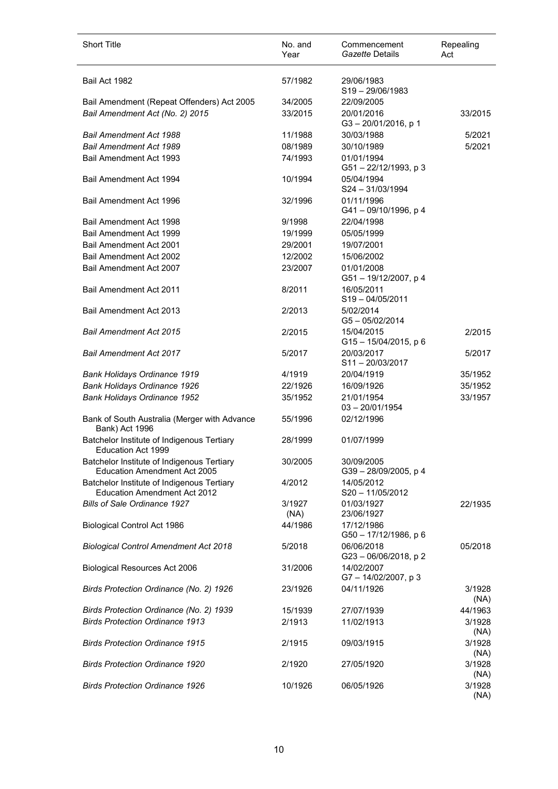| <b>Short Title</b>                                                                | No. and<br>Year | Commencement<br>Gazette Details     | Repealing<br>Act |
|-----------------------------------------------------------------------------------|-----------------|-------------------------------------|------------------|
| Bail Act 1982                                                                     | 57/1982         | 29/06/1983<br>$S19 - 29/06/1983$    |                  |
| Bail Amendment (Repeat Offenders) Act 2005                                        | 34/2005         | 22/09/2005                          |                  |
| Bail Amendment Act (No. 2) 2015                                                   | 33/2015         | 20/01/2016<br>G3-20/01/2016, p 1    | 33/2015          |
| <b>Bail Amendment Act 1988</b>                                                    | 11/1988         | 30/03/1988                          | 5/2021           |
| <b>Bail Amendment Act 1989</b>                                                    | 08/1989         | 30/10/1989                          | 5/2021           |
| Bail Amendment Act 1993                                                           | 74/1993         | 01/01/1994<br>G51-22/12/1993, p 3   |                  |
| Bail Amendment Act 1994                                                           | 10/1994         | 05/04/1994<br>$S24 - 31/03/1994$    |                  |
| Bail Amendment Act 1996                                                           | 32/1996         | 01/11/1996<br>G41-09/10/1996, p 4   |                  |
| Bail Amendment Act 1998                                                           | 9/1998          | 22/04/1998                          |                  |
| Bail Amendment Act 1999                                                           | 19/1999         | 05/05/1999                          |                  |
| Bail Amendment Act 2001                                                           | 29/2001         | 19/07/2001                          |                  |
| Bail Amendment Act 2002                                                           | 12/2002         | 15/06/2002                          |                  |
| Bail Amendment Act 2007                                                           | 23/2007         | 01/01/2008<br>G51-19/12/2007, p 4   |                  |
| <b>Bail Amendment Act 2011</b>                                                    | 8/2011          | 16/05/2011<br>$S19 - 04/05/2011$    |                  |
| Bail Amendment Act 2013                                                           | 2/2013          | 5/02/2014<br>$G5 - 05/02/2014$      |                  |
| <b>Bail Amendment Act 2015</b>                                                    | 2/2015          | 15/04/2015<br>G15-15/04/2015, p 6   | 2/2015           |
| <b>Bail Amendment Act 2017</b>                                                    | 5/2017          | 20/03/2017<br>$S11 - 20/03/2017$    | 5/2017           |
| <b>Bank Holidays Ordinance 1919</b>                                               | 4/1919          | 20/04/1919                          | 35/1952          |
| Bank Holidays Ordinance 1926                                                      | 22/1926         | 16/09/1926                          | 35/1952          |
| Bank Holidays Ordinance 1952                                                      | 35/1952         | 21/01/1954<br>$03 - 20/01/1954$     | 33/1957          |
| Bank of South Australia (Merger with Advance<br>Bank) Act 1996                    | 55/1996         | 02/12/1996                          |                  |
| Batchelor Institute of Indigenous Tertiary<br>Education Act 1999                  | 28/1999         | 01/07/1999                          |                  |
| Batchelor Institute of Indigenous Tertiary<br><b>Education Amendment Act 2005</b> | 30/2005         | 30/09/2005<br>G39-28/09/2005, p 4   |                  |
| Batchelor Institute of Indigenous Tertiary<br><b>Education Amendment Act 2012</b> | 4/2012          | 14/05/2012<br>$S20 - 11/05/2012$    |                  |
| <b>Bills of Sale Ordinance 1927</b>                                               | 3/1927<br>(NA)  | 01/03/1927<br>23/06/1927            | 22/1935          |
| Biological Control Act 1986                                                       | 44/1986         | 17/12/1986<br>G50 - 17/12/1986, p 6 |                  |
| <b>Biological Control Amendment Act 2018</b>                                      | 5/2018          | 06/06/2018<br>G23-06/06/2018, p2    | 05/2018          |
| <b>Biological Resources Act 2006</b>                                              | 31/2006         | 14/02/2007<br>G7-14/02/2007, p3     |                  |
| Birds Protection Ordinance (No. 2) 1926                                           | 23/1926         | 04/11/1926                          | 3/1928<br>(NA)   |
| Birds Protection Ordinance (No. 2) 1939                                           | 15/1939         | 27/07/1939                          | 44/1963          |
| <b>Birds Protection Ordinance 1913</b>                                            | 2/1913          | 11/02/1913                          | 3/1928<br>(NA)   |
| <b>Birds Protection Ordinance 1915</b>                                            | 2/1915          | 09/03/1915                          | 3/1928<br>(NA)   |
| <b>Birds Protection Ordinance 1920</b>                                            | 2/1920          | 27/05/1920                          | 3/1928<br>(NA)   |
| <b>Birds Protection Ordinance 1926</b>                                            | 10/1926         | 06/05/1926                          | 3/1928<br>(NA)   |

l,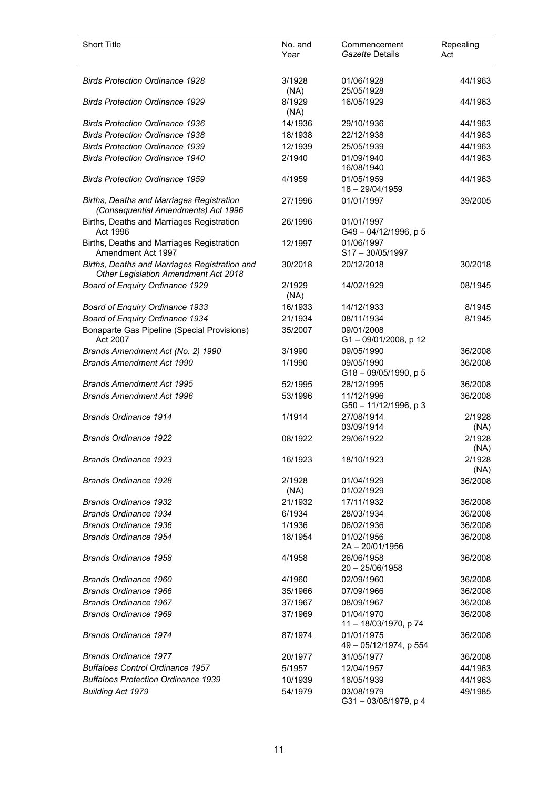| <b>Short Title</b>                                                                           | No. and<br>Year | Commencement<br>Gazette Details      | Repealing<br>Act |
|----------------------------------------------------------------------------------------------|-----------------|--------------------------------------|------------------|
| <b>Birds Protection Ordinance 1928</b>                                                       | 3/1928<br>(NA)  | 01/06/1928<br>25/05/1928             | 44/1963          |
| <b>Birds Protection Ordinance 1929</b>                                                       | 8/1929<br>(NA)  | 16/05/1929                           | 44/1963          |
| <b>Birds Protection Ordinance 1936</b>                                                       | 14/1936         | 29/10/1936                           | 44/1963          |
| <b>Birds Protection Ordinance 1938</b>                                                       | 18/1938         | 22/12/1938                           | 44/1963          |
| <b>Birds Protection Ordinance 1939</b>                                                       | 12/1939         | 25/05/1939                           | 44/1963          |
| <b>Birds Protection Ordinance 1940</b>                                                       | 2/1940          | 01/09/1940<br>16/08/1940             | 44/1963          |
| <b>Birds Protection Ordinance 1959</b>                                                       | 4/1959          | 01/05/1959<br>18 - 29/04/1959        | 44/1963          |
| <b>Births, Deaths and Marriages Registration</b><br>(Consequential Amendments) Act 1996      | 27/1996         | 01/01/1997                           | 39/2005          |
| Births, Deaths and Marriages Registration<br>Act 1996                                        | 26/1996         | 01/01/1997<br>G49-04/12/1996, p 5    |                  |
| Births, Deaths and Marriages Registration<br>Amendment Act 1997                              | 12/1997         | 01/06/1997<br>S17-30/05/1997         |                  |
| Births, Deaths and Marriages Registration and<br><b>Other Legislation Amendment Act 2018</b> | 30/2018         | 20/12/2018                           | 30/2018          |
| Board of Enquiry Ordinance 1929                                                              | 2/1929<br>(NA)  | 14/02/1929                           | 08/1945          |
| <b>Board of Enquiry Ordinance 1933</b>                                                       | 16/1933         | 14/12/1933                           | 8/1945           |
| Board of Enquiry Ordinance 1934                                                              | 21/1934         | 08/11/1934                           | 8/1945           |
| Bonaparte Gas Pipeline (Special Provisions)<br>Act 2007                                      | 35/2007         | 09/01/2008<br>G1-09/01/2008, p 12    |                  |
| Brands Amendment Act (No. 2) 1990                                                            | 3/1990          | 09/05/1990                           | 36/2008          |
| <b>Brands Amendment Act 1990</b>                                                             | 1/1990          | 09/05/1990<br>G18-09/05/1990, p 5    | 36/2008          |
| <b>Brands Amendment Act 1995</b>                                                             | 52/1995         | 28/12/1995                           | 36/2008          |
| <b>Brands Amendment Act 1996</b>                                                             | 53/1996         | 11/12/1996<br>G50-11/12/1996, p3     | 36/2008          |
| <b>Brands Ordinance 1914</b>                                                                 | 1/1914          | 27/08/1914<br>03/09/1914             | 2/1928<br>(NA)   |
| <b>Brands Ordinance 1922</b>                                                                 | 08/1922         | 29/06/1922                           | 2/1928<br>(NA)   |
| <b>Brands Ordinance 1923</b>                                                                 | 16/1923         | 18/10/1923                           | 2/1928<br>(NA)   |
| <b>Brands Ordinance 1928</b>                                                                 | 2/1928<br>(NA)  | 01/04/1929<br>01/02/1929             | 36/2008          |
| <b>Brands Ordinance 1932</b>                                                                 | 21/1932         | 17/11/1932                           | 36/2008          |
| <b>Brands Ordinance 1934</b>                                                                 | 6/1934          | 28/03/1934                           | 36/2008          |
| <b>Brands Ordinance 1936</b>                                                                 | 1/1936          | 06/02/1936                           | 36/2008          |
| Brands Ordinance 1954                                                                        | 18/1954         | 01/02/1956<br>2A-20/01/1956          | 36/2008          |
| Brands Ordinance 1958                                                                        | 4/1958          | 26/06/1958<br>$20 - 25/06/1958$      | 36/2008          |
| Brands Ordinance 1960                                                                        | 4/1960          | 02/09/1960                           | 36/2008          |
| Brands Ordinance 1966                                                                        | 35/1966         | 07/09/1966                           | 36/2008          |
| <b>Brands Ordinance 1967</b>                                                                 | 37/1967         | 08/09/1967                           | 36/2008          |
| <b>Brands Ordinance 1969</b>                                                                 | 37/1969         | 01/04/1970<br>11 - 18/03/1970, p 74  | 36/2008          |
| <b>Brands Ordinance 1974</b>                                                                 | 87/1974         | 01/01/1975<br>49 - 05/12/1974, p 554 | 36/2008          |
| <b>Brands Ordinance 1977</b>                                                                 | 20/1977         | 31/05/1977                           | 36/2008          |
| <b>Buffaloes Control Ordinance 1957</b>                                                      | 5/1957          | 12/04/1957                           | 44/1963          |
| <b>Buffaloes Protection Ordinance 1939</b>                                                   | 10/1939         | 18/05/1939                           | 44/1963          |
| <b>Building Act 1979</b>                                                                     | 54/1979         | 03/08/1979<br>G31-03/08/1979, p 4    | 49/1985          |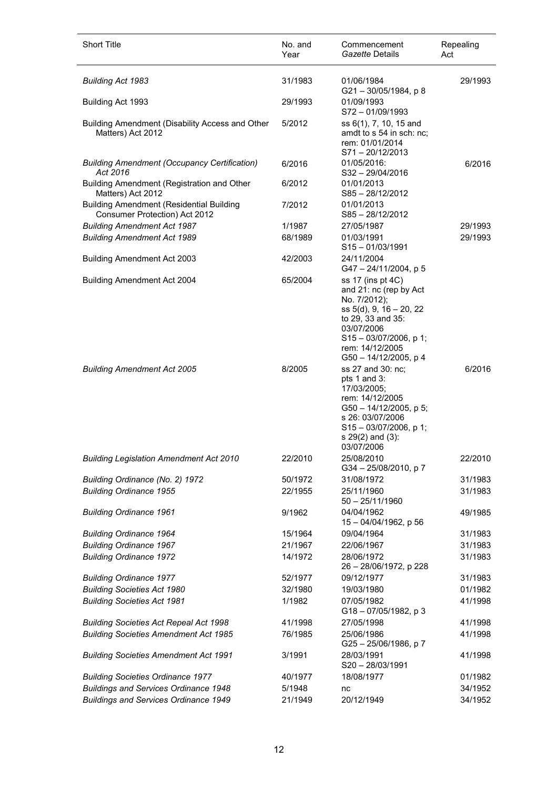| <b>Short Title</b>                                                               | No. and<br>Year | Commencement<br>Gazette Details                                                                                                                                                                    | Repealing<br>Act |
|----------------------------------------------------------------------------------|-----------------|----------------------------------------------------------------------------------------------------------------------------------------------------------------------------------------------------|------------------|
| <b>Building Act 1983</b>                                                         | 31/1983         | 01/06/1984                                                                                                                                                                                         | 29/1993          |
| Building Act 1993                                                                | 29/1993         | G21-30/05/1984, p 8<br>01/09/1993<br>$S72 - 01/09/1993$                                                                                                                                            |                  |
| Building Amendment (Disability Access and Other<br>Matters) Act 2012             | 5/2012          | ss 6(1), 7, 10, 15 and<br>amdt to s 54 in sch: nc;<br>rem: 01/01/2014<br>$S71 - 20/12/2013$                                                                                                        |                  |
| <b>Building Amendment (Occupancy Certification)</b><br>Act 2016                  | 6/2016          | 01/05/2016:<br>S32-29/04/2016                                                                                                                                                                      | 6/2016           |
| Building Amendment (Registration and Other<br>Matters) Act 2012                  | 6/2012          | 01/01/2013<br>S85-28/12/2012                                                                                                                                                                       |                  |
| <b>Building Amendment (Residential Building</b><br>Consumer Protection) Act 2012 | 7/2012          | 01/01/2013<br>S85-28/12/2012                                                                                                                                                                       |                  |
| <b>Building Amendment Act 1987</b>                                               | 1/1987          | 27/05/1987                                                                                                                                                                                         | 29/1993          |
| <b>Building Amendment Act 1989</b>                                               | 68/1989         | 01/03/1991<br>$S15 - 01/03/1991$                                                                                                                                                                   | 29/1993          |
| <b>Building Amendment Act 2003</b>                                               | 42/2003         | 24/11/2004<br>G47 - 24/11/2004, p 5                                                                                                                                                                |                  |
| <b>Building Amendment Act 2004</b>                                               | 65/2004         | ss 17 (ins pt 4C)<br>and 21: nc (rep by Act<br>No. 7/2012);<br>ss 5(d), 9, 16 - 20, 22<br>to 29, 33 and 35:<br>03/07/2006<br>$S15 - 03/07/2006$ , p 1;<br>rem: 14/12/2005<br>G50 - 14/12/2005, p 4 |                  |
| <b>Building Amendment Act 2005</b>                                               | 8/2005          | ss 27 and 30: nc;<br>pts 1 and 3:<br>17/03/2005;<br>rem: 14/12/2005<br>G50 - 14/12/2005, p 5;<br>s 26: 03/07/2006<br>$S15 - 03/07/2006$ , p 1;<br>s 29(2) and (3):<br>03/07/2006                   | 6/2016           |
| <b>Building Legislation Amendment Act 2010</b>                                   | 22/2010         | 25/08/2010<br>G34-25/08/2010, p7                                                                                                                                                                   | 22/2010          |
| Building Ordinance (No. 2) 1972                                                  | 50/1972         | 31/08/1972                                                                                                                                                                                         | 31/1983          |
| <b>Building Ordinance 1955</b>                                                   | 22/1955         | 25/11/1960<br>$50 - 25/11/1960$                                                                                                                                                                    | 31/1983          |
| <b>Building Ordinance 1961</b>                                                   | 9/1962          | 04/04/1962<br>15-04/04/1962, p 56                                                                                                                                                                  | 49/1985          |
| <b>Building Ordinance 1964</b>                                                   | 15/1964         | 09/04/1964                                                                                                                                                                                         | 31/1983          |
| <b>Building Ordinance 1967</b>                                                   | 21/1967         | 22/06/1967                                                                                                                                                                                         | 31/1983          |
| <b>Building Ordinance 1972</b>                                                   | 14/1972         | 28/06/1972<br>26 - 28/06/1972, p 228                                                                                                                                                               | 31/1983          |
| <b>Building Ordinance 1977</b>                                                   | 52/1977         | 09/12/1977                                                                                                                                                                                         | 31/1983          |
| <b>Building Societies Act 1980</b>                                               | 32/1980         | 19/03/1980                                                                                                                                                                                         | 01/1982          |
| <b>Building Societies Act 1981</b>                                               | 1/1982          | 07/05/1982<br>G18-07/05/1982, p 3                                                                                                                                                                  | 41/1998          |
| <b>Building Societies Act Repeal Act 1998</b>                                    | 41/1998         | 27/05/1998                                                                                                                                                                                         | 41/1998          |
| <b>Building Societies Amendment Act 1985</b>                                     | 76/1985         | 25/06/1986<br>G25-25/06/1986, p7                                                                                                                                                                   | 41/1998          |
| <b>Building Societies Amendment Act 1991</b>                                     | 3/1991          | 28/03/1991<br>S20-28/03/1991                                                                                                                                                                       | 41/1998          |
| <b>Building Societies Ordinance 1977</b>                                         | 40/1977         | 18/08/1977                                                                                                                                                                                         | 01/1982          |
| <b>Buildings and Services Ordinance 1948</b>                                     | 5/1948          | nc                                                                                                                                                                                                 | 34/1952          |
| <b>Buildings and Services Ordinance 1949</b>                                     | 21/1949         | 20/12/1949                                                                                                                                                                                         | 34/1952          |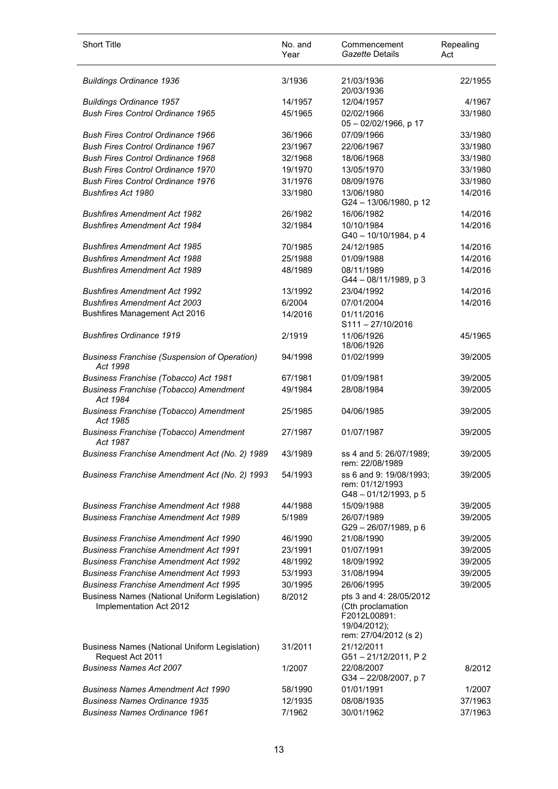| <b>Short Title</b>                                                              | No. and<br>Year | Commencement<br>Gazette Details                                                                       | Repealing<br>Act |
|---------------------------------------------------------------------------------|-----------------|-------------------------------------------------------------------------------------------------------|------------------|
| <b>Buildings Ordinance 1936</b>                                                 | 3/1936          | 21/03/1936<br>20/03/1936                                                                              | 22/1955          |
| <b>Buildings Ordinance 1957</b>                                                 | 14/1957         | 12/04/1957                                                                                            | 4/1967           |
| <b>Bush Fires Control Ordinance 1965</b>                                        | 45/1965         | 02/02/1966<br>05-02/02/1966, p 17                                                                     | 33/1980          |
| <b>Bush Fires Control Ordinance 1966</b>                                        | 36/1966         | 07/09/1966                                                                                            | 33/1980          |
| <b>Bush Fires Control Ordinance 1967</b>                                        | 23/1967         | 22/06/1967                                                                                            | 33/1980          |
| <b>Bush Fires Control Ordinance 1968</b>                                        | 32/1968         | 18/06/1968                                                                                            | 33/1980          |
| <b>Bush Fires Control Ordinance 1970</b>                                        | 19/1970         | 13/05/1970                                                                                            | 33/1980          |
| <b>Bush Fires Control Ordinance 1976</b>                                        | 31/1976         | 08/09/1976                                                                                            | 33/1980          |
| <b>Bushfires Act 1980</b>                                                       | 33/1980         | 13/06/1980<br>G24 - 13/06/1980, p 12                                                                  | 14/2016          |
| <b>Bushfires Amendment Act 1982</b>                                             | 26/1982         | 16/06/1982                                                                                            | 14/2016          |
| <b>Bushfires Amendment Act 1984</b>                                             | 32/1984         | 10/10/1984<br>G40 - 10/10/1984, p 4                                                                   | 14/2016          |
| <b>Bushfires Amendment Act 1985</b>                                             | 70/1985         | 24/12/1985                                                                                            | 14/2016          |
| <b>Bushfires Amendment Act 1988</b>                                             | 25/1988         | 01/09/1988                                                                                            | 14/2016          |
| <b>Bushfires Amendment Act 1989</b>                                             | 48/1989         | 08/11/1989<br>G44-08/11/1989, p 3                                                                     | 14/2016          |
| <b>Bushfires Amendment Act 1992</b>                                             | 13/1992         | 23/04/1992                                                                                            | 14/2016          |
| <b>Bushfires Amendment Act 2003</b>                                             | 6/2004          | 07/01/2004                                                                                            | 14/2016          |
| <b>Bushfires Management Act 2016</b>                                            | 14/2016         | 01/11/2016<br>$S111 - 27/10/2016$                                                                     |                  |
| <b>Bushfires Ordinance 1919</b>                                                 | 2/1919          | 11/06/1926<br>18/06/1926                                                                              | 45/1965          |
| <b>Business Franchise (Suspension of Operation)</b><br>Act 1998                 | 94/1998         | 01/02/1999                                                                                            | 39/2005          |
| Business Franchise (Tobacco) Act 1981                                           | 67/1981         | 01/09/1981                                                                                            | 39/2005          |
| <b>Business Franchise (Tobacco) Amendment</b><br>Act 1984                       | 49/1984         | 28/08/1984                                                                                            | 39/2005          |
| <b>Business Franchise (Tobacco) Amendment</b><br>Act 1985                       | 25/1985         | 04/06/1985                                                                                            | 39/2005          |
| <b>Business Franchise (Tobacco) Amendment</b><br>Act 1987                       | 27/1987         | 01/07/1987                                                                                            | 39/2005          |
| Business Franchise Amendment Act (No. 2) 1989                                   | 43/1989         | ss 4 and 5: 26/07/1989:<br>rem: 22/08/1989                                                            | 39/2005          |
| Business Franchise Amendment Act (No. 2) 1993                                   | 54/1993         | ss 6 and 9: 19/08/1993;<br>rem: 01/12/1993<br>G48-01/12/1993, p 5                                     | 39/2005          |
| <b>Business Franchise Amendment Act 1988</b>                                    | 44/1988         | 15/09/1988                                                                                            | 39/2005          |
| <b>Business Franchise Amendment Act 1989</b>                                    | 5/1989          | 26/07/1989<br>G29-26/07/1989, p 6                                                                     | 39/2005          |
| <b>Business Franchise Amendment Act 1990</b>                                    | 46/1990         | 21/08/1990                                                                                            | 39/2005          |
| <b>Business Franchise Amendment Act 1991</b>                                    | 23/1991         | 01/07/1991                                                                                            | 39/2005          |
| <b>Business Franchise Amendment Act 1992</b>                                    | 48/1992         | 18/09/1992                                                                                            | 39/2005          |
| <b>Business Franchise Amendment Act 1993</b>                                    | 53/1993         | 31/08/1994                                                                                            | 39/2005          |
| <b>Business Franchise Amendment Act 1995</b>                                    | 30/1995         | 26/06/1995                                                                                            | 39/2005          |
| <b>Business Names (National Uniform Legislation)</b><br>Implementation Act 2012 | 8/2012          | pts 3 and 4: 28/05/2012<br>(Cth proclamation<br>F2012L00891:<br>19/04/2012);<br>rem: 27/04/2012 (s 2) |                  |
| <b>Business Names (National Uniform Legislation)</b><br>Request Act 2011        | 31/2011         | 21/12/2011<br>G51-21/12/2011, P2                                                                      |                  |
| <b>Business Names Act 2007</b>                                                  | 1/2007          | 22/08/2007<br>G34 - 22/08/2007, p 7                                                                   | 8/2012           |
| <b>Business Names Amendment Act 1990</b>                                        | 58/1990         | 01/01/1991                                                                                            | 1/2007           |
| <b>Business Names Ordinance 1935</b>                                            | 12/1935         | 08/08/1935                                                                                            | 37/1963          |
| <b>Business Names Ordinance 1961</b>                                            | 7/1962          | 30/01/1962                                                                                            | 37/1963          |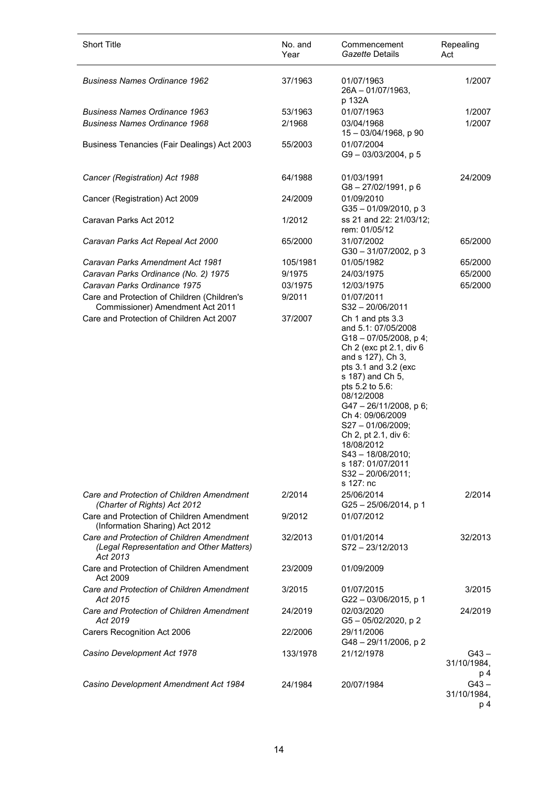| <b>Short Title</b>                                                                                | No. and<br>Year | Commencement<br>Gazette Details                                                                                                                                                                                                                                                                                                                                                         | Repealing<br>Act              |
|---------------------------------------------------------------------------------------------------|-----------------|-----------------------------------------------------------------------------------------------------------------------------------------------------------------------------------------------------------------------------------------------------------------------------------------------------------------------------------------------------------------------------------------|-------------------------------|
| <b>Business Names Ordinance 1962</b>                                                              | 37/1963         | 01/07/1963<br>$26A - 01/07/1963$ ,<br>p 132A                                                                                                                                                                                                                                                                                                                                            | 1/2007                        |
| <b>Business Names Ordinance 1963</b>                                                              | 53/1963         | 01/07/1963                                                                                                                                                                                                                                                                                                                                                                              | 1/2007                        |
| <b>Business Names Ordinance 1968</b>                                                              | 2/1968          | 03/04/1968                                                                                                                                                                                                                                                                                                                                                                              | 1/2007                        |
| Business Tenancies (Fair Dealings) Act 2003                                                       | 55/2003         | 15 - 03/04/1968, p 90<br>01/07/2004<br>$G9 - 03/03/2004$ , p 5                                                                                                                                                                                                                                                                                                                          |                               |
| Cancer (Registration) Act 1988                                                                    | 64/1988         | 01/03/1991<br>G8-27/02/1991, p 6                                                                                                                                                                                                                                                                                                                                                        | 24/2009                       |
| Cancer (Registration) Act 2009                                                                    | 24/2009         | 01/09/2010<br>G35-01/09/2010, p3                                                                                                                                                                                                                                                                                                                                                        |                               |
| Caravan Parks Act 2012                                                                            | 1/2012          | ss 21 and 22: 21/03/12;<br>rem: 01/05/12                                                                                                                                                                                                                                                                                                                                                |                               |
| Caravan Parks Act Repeal Act 2000                                                                 | 65/2000         | 31/07/2002<br>G30-31/07/2002, p3                                                                                                                                                                                                                                                                                                                                                        | 65/2000                       |
| Caravan Parks Amendment Act 1981                                                                  | 105/1981        | 01/05/1982                                                                                                                                                                                                                                                                                                                                                                              | 65/2000                       |
| Caravan Parks Ordinance (No. 2) 1975                                                              | 9/1975          | 24/03/1975                                                                                                                                                                                                                                                                                                                                                                              | 65/2000                       |
| Caravan Parks Ordinance 1975                                                                      | 03/1975         | 12/03/1975                                                                                                                                                                                                                                                                                                                                                                              | 65/2000                       |
| Care and Protection of Children (Children's<br>Commissioner) Amendment Act 2011                   | 9/2011          | 01/07/2011<br>$S32 - 20/06/2011$                                                                                                                                                                                                                                                                                                                                                        |                               |
| Care and Protection of Children Act 2007                                                          | 37/2007         | Ch 1 and pts 3.3<br>and 5.1: 07/05/2008<br>$G18 - 07/05/2008$ , p 4;<br>Ch 2 (exc pt 2.1, div 6<br>and s 127), Ch 3,<br>pts 3.1 and 3.2 (exc<br>s 187) and Ch 5,<br>pts 5.2 to 5.6:<br>08/12/2008<br>G47-26/11/2008, p6;<br>Ch 4: 09/06/2009<br>$S27 - 01/06/2009$ ;<br>Ch 2, pt 2.1, div 6:<br>18/08/2012<br>S43-18/08/2010;<br>s 187: 01/07/2011<br>$S32 - 20/06/2011$ ;<br>s 127: nc |                               |
| Care and Protection of Children Amendment<br>(Charter of Rights) Act 2012                         | 2/2014          | 25/06/2014<br>$G25 - 25/06/2014$ , p 1                                                                                                                                                                                                                                                                                                                                                  | 2/2014                        |
| Care and Protection of Children Amendment<br>(Information Sharing) Act 2012                       | 9/2012          | 01/07/2012                                                                                                                                                                                                                                                                                                                                                                              |                               |
| Care and Protection of Children Amendment<br>(Legal Representation and Other Matters)<br>Act 2013 | 32/2013         | 01/01/2014<br>$S72 - 23/12/2013$                                                                                                                                                                                                                                                                                                                                                        | 32/2013                       |
| Care and Protection of Children Amendment<br>Act 2009                                             | 23/2009         | 01/09/2009                                                                                                                                                                                                                                                                                                                                                                              |                               |
| Care and Protection of Children Amendment<br>Act 2015                                             | 3/2015          | 01/07/2015<br>G22-03/06/2015, p 1                                                                                                                                                                                                                                                                                                                                                       | 3/2015                        |
| Care and Protection of Children Amendment<br>Act 2019                                             | 24/2019         | 02/03/2020<br>$G5 - 05/02/2020$ , p 2                                                                                                                                                                                                                                                                                                                                                   | 24/2019                       |
| Carers Recognition Act 2006                                                                       | 22/2006         | 29/11/2006<br>G48-29/11/2006, p2                                                                                                                                                                                                                                                                                                                                                        |                               |
| Casino Development Act 1978                                                                       | 133/1978        | 21/12/1978                                                                                                                                                                                                                                                                                                                                                                              | $G43 -$<br>31/10/1984,<br>p 4 |
| Casino Development Amendment Act 1984                                                             | 24/1984         | 20/07/1984                                                                                                                                                                                                                                                                                                                                                                              | $G43 -$<br>31/10/1984,<br>p 4 |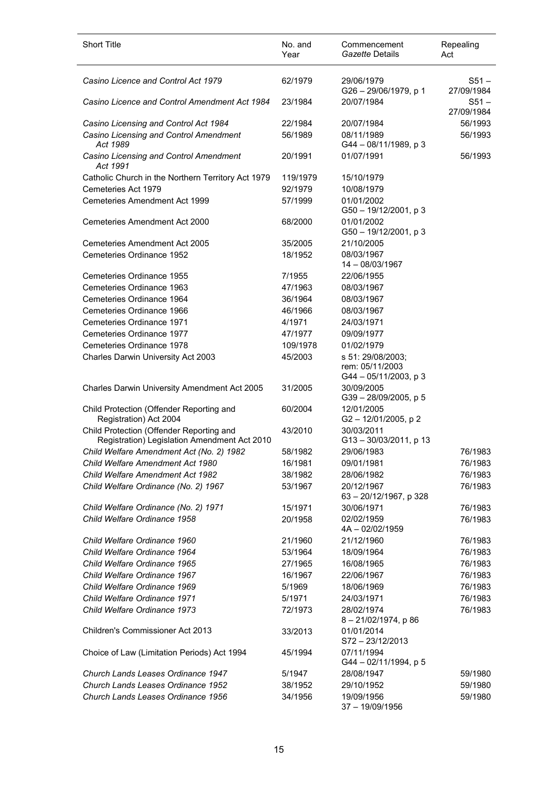| <b>Short Title</b>                                                                       | No. and<br>Year     | Commencement<br>Gazette Details                    | Repealing<br>Act      |
|------------------------------------------------------------------------------------------|---------------------|----------------------------------------------------|-----------------------|
| Casino Licence and Control Act 1979                                                      | 62/1979             | 29/06/1979<br>G26 - 29/06/1979, p 1                | $S51 -$<br>27/09/1984 |
| Casino Licence and Control Amendment Act 1984                                            | 23/1984             | 20/07/1984                                         | $S51 -$<br>27/09/1984 |
| Casino Licensing and Control Act 1984                                                    | 22/1984             | 20/07/1984                                         | 56/1993               |
| Casino Licensing and Control Amendment<br>Act 1989                                       | 56/1989             | 08/11/1989<br>G44 - 08/11/1989, p 3                | 56/1993               |
| Casino Licensing and Control Amendment<br>Act 1991                                       | 20/1991             | 01/07/1991                                         | 56/1993               |
| Catholic Church in the Northern Territory Act 1979                                       | 119/1979            | 15/10/1979                                         |                       |
| Cemeteries Act 1979                                                                      | 92/1979             | 10/08/1979                                         |                       |
| Cemeteries Amendment Act 1999                                                            | 57/1999             | 01/01/2002<br>G50 - 19/12/2001, p 3                |                       |
| Cemeteries Amendment Act 2000                                                            | 68/2000             | 01/01/2002<br>G50 - 19/12/2001, p 3                |                       |
| Cemeteries Amendment Act 2005                                                            | 35/2005             | 21/10/2005                                         |                       |
| Cemeteries Ordinance 1952                                                                | 18/1952             | 08/03/1967<br>$14 - 08/03/1967$                    |                       |
| Cemeteries Ordinance 1955                                                                | 7/1955              | 22/06/1955                                         |                       |
| Cemeteries Ordinance 1963                                                                | 47/1963             | 08/03/1967                                         |                       |
| Cemeteries Ordinance 1964                                                                | 36/1964             | 08/03/1967                                         |                       |
| Cemeteries Ordinance 1966                                                                | 46/1966             | 08/03/1967                                         |                       |
| Cemeteries Ordinance 1971                                                                | 4/1971              | 24/03/1971                                         |                       |
| Cemeteries Ordinance 1977<br>Cemeteries Ordinance 1978                                   | 47/1977<br>109/1978 | 09/09/1977                                         |                       |
| Charles Darwin University Act 2003                                                       | 45/2003             | 01/02/1979<br>s 51: 29/08/2003;<br>rem: 05/11/2003 |                       |
| Charles Darwin University Amendment Act 2005                                             | 31/2005             | G44 - 05/11/2003, p 3<br>30/09/2005                |                       |
|                                                                                          |                     | $G39 - 28/09/2005$ , p 5                           |                       |
| Child Protection (Offender Reporting and<br>Registration) Act 2004                       | 60/2004             | 12/01/2005<br>G2-12/01/2005, p2                    |                       |
| Child Protection (Offender Reporting and<br>Registration) Legislation Amendment Act 2010 | 43/2010             | 30/03/2011<br>G13-30/03/2011, p 13                 |                       |
| Child Welfare Amendment Act (No. 2) 1982                                                 | 58/1982             | 29/06/1983                                         | 76/1983               |
| Child Welfare Amendment Act 1980                                                         | 16/1981             | 09/01/1981                                         | 76/1983               |
| <b>Child Welfare Amendment Act 1982</b>                                                  | 38/1982             | 28/06/1982                                         | 76/1983               |
| Child Welfare Ordinance (No. 2) 1967                                                     | 53/1967             | 20/12/1967<br>63 - 20/12/1967, p 328               | 76/1983               |
| Child Welfare Ordinance (No. 2) 1971                                                     | 15/1971             | 30/06/1971                                         | 76/1983               |
| Child Welfare Ordinance 1958                                                             | 20/1958             | 02/02/1959<br>4A-02/02/1959                        | 76/1983               |
| Child Welfare Ordinance 1960                                                             | 21/1960             | 21/12/1960                                         | 76/1983               |
| Child Welfare Ordinance 1964                                                             | 53/1964             | 18/09/1964                                         | 76/1983               |
| Child Welfare Ordinance 1965                                                             | 27/1965             | 16/08/1965                                         | 76/1983               |
| Child Welfare Ordinance 1967                                                             | 16/1967             | 22/06/1967                                         | 76/1983               |
| Child Welfare Ordinance 1969                                                             | 5/1969              | 18/06/1969                                         | 76/1983               |
| Child Welfare Ordinance 1971                                                             | 5/1971              | 24/03/1971                                         | 76/1983               |
| Child Welfare Ordinance 1973                                                             | 72/1973             | 28/02/1974<br>8-21/02/1974, p 86                   | 76/1983               |
| Children's Commissioner Act 2013                                                         | 33/2013             | 01/01/2014<br>S72-23/12/2013                       |                       |
| Choice of Law (Limitation Periods) Act 1994                                              | 45/1994             | 07/11/1994<br>G44 - 02/11/1994, p 5                |                       |
| Church Lands Leases Ordinance 1947                                                       | 5/1947              | 28/08/1947                                         | 59/1980               |
| Church Lands Leases Ordinance 1952                                                       | 38/1952             | 29/10/1952                                         | 59/1980               |
| Church Lands Leases Ordinance 1956                                                       | 34/1956             | 19/09/1956<br>37 - 19/09/1956                      | 59/1980               |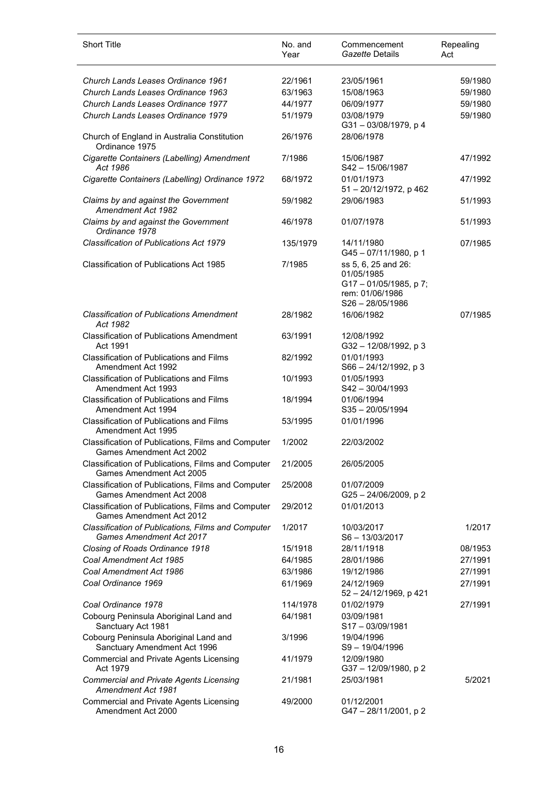| <b>Short Title</b>                                                                    | No. and<br>Year | Commencement<br>Gazette Details                          | Repealing<br>Act |
|---------------------------------------------------------------------------------------|-----------------|----------------------------------------------------------|------------------|
| Church Lands Leases Ordinance 1961                                                    | 22/1961         | 23/05/1961                                               | 59/1980          |
| Church Lands Leases Ordinance 1963                                                    | 63/1963         | 15/08/1963                                               | 59/1980          |
| Church Lands Leases Ordinance 1977                                                    | 44/1977         | 06/09/1977                                               | 59/1980          |
| Church Lands Leases Ordinance 1979                                                    | 51/1979         | 03/08/1979<br>G31-03/08/1979, p 4                        | 59/1980          |
| Church of England in Australia Constitution<br>Ordinance 1975                         | 26/1976         | 28/06/1978                                               |                  |
| Cigarette Containers (Labelling) Amendment<br>Act 1986                                | 7/1986          | 15/06/1987<br>S42 - 15/06/1987                           | 47/1992          |
| Cigarette Containers (Labelling) Ordinance 1972                                       | 68/1972         | 01/01/1973<br>51 - 20/12/1972, p 462                     | 47/1992          |
| Claims by and against the Government<br>Amendment Act 1982                            | 59/1982         | 29/06/1983                                               | 51/1993          |
| Claims by and against the Government<br>Ordinance 1978                                | 46/1978         | 01/07/1978                                               | 51/1993          |
| Classification of Publications Act 1979                                               | 135/1979        | 14/11/1980<br>G45-07/11/1980, p 1                        | 07/1985          |
| <b>Classification of Publications Act 1985</b>                                        | 7/1985          | ss 5, 6, 25 and 26:<br>01/05/1985<br>G17-01/05/1985, p7; |                  |
|                                                                                       |                 | rem: 01/06/1986<br>$S26 - 28/05/1986$                    |                  |
| <b>Classification of Publications Amendment</b><br>Act 1982                           | 28/1982         | 16/06/1982                                               | 07/1985          |
| <b>Classification of Publications Amendment</b><br>Act 1991                           | 63/1991         | 12/08/1992<br>G32 - 12/08/1992, p 3                      |                  |
| <b>Classification of Publications and Films</b><br>Amendment Act 1992                 | 82/1992         | 01/01/1993<br>$S66 - 24/12/1992$ , p 3                   |                  |
| <b>Classification of Publications and Films</b><br>Amendment Act 1993                 | 10/1993         | 01/05/1993<br>$S42 - 30/04/1993$                         |                  |
| Classification of Publications and Films<br>Amendment Act 1994                        | 18/1994         | 01/06/1994<br>$S35 - 20/05/1994$                         |                  |
| <b>Classification of Publications and Films</b><br>Amendment Act 1995                 | 53/1995         | 01/01/1996                                               |                  |
| Classification of Publications, Films and Computer<br>Games Amendment Act 2002        | 1/2002          | 22/03/2002                                               |                  |
| Classification of Publications, Films and Computer<br><b>Games Amendment Act 2005</b> | 21/2005         | 26/05/2005                                               |                  |
| Classification of Publications, Films and Computer<br>Games Amendment Act 2008        | 25/2008         | 01/07/2009<br>G25 - 24/06/2009, p 2                      |                  |
| Classification of Publications, Films and Computer<br>Games Amendment Act 2012        | 29/2012         | 01/01/2013                                               |                  |
| Classification of Publications, Films and Computer<br>Games Amendment Act 2017        | 1/2017          | 10/03/2017<br>S6-13/03/2017                              | 1/2017           |
| Closing of Roads Ordinance 1918                                                       | 15/1918         | 28/11/1918                                               | 08/1953          |
| Coal Amendment Act 1985                                                               | 64/1985         | 28/01/1986                                               | 27/1991          |
| Coal Amendment Act 1986                                                               | 63/1986         | 19/12/1986                                               | 27/1991          |
| Coal Ordinance 1969                                                                   | 61/1969         | 24/12/1969<br>52 - 24/12/1969, p 421                     | 27/1991          |
| Coal Ordinance 1978                                                                   | 114/1978        | 01/02/1979                                               | 27/1991          |
| Cobourg Peninsula Aboriginal Land and<br>Sanctuary Act 1981                           | 64/1981         | 03/09/1981<br>$S17 - 03/09/1981$                         |                  |
| Cobourg Peninsula Aboriginal Land and<br>Sanctuary Amendment Act 1996                 | 3/1996          | 19/04/1996<br>S9-19/04/1996                              |                  |
| <b>Commercial and Private Agents Licensing</b><br>Act 1979                            | 41/1979         | 12/09/1980<br>G37-12/09/1980, p2                         |                  |
| <b>Commercial and Private Agents Licensing</b><br>Amendment Act 1981                  | 21/1981         | 25/03/1981                                               | 5/2021           |
| <b>Commercial and Private Agents Licensing</b><br>Amendment Act 2000                  | 49/2000         | 01/12/2001<br>G47 - 28/11/2001, p 2                      |                  |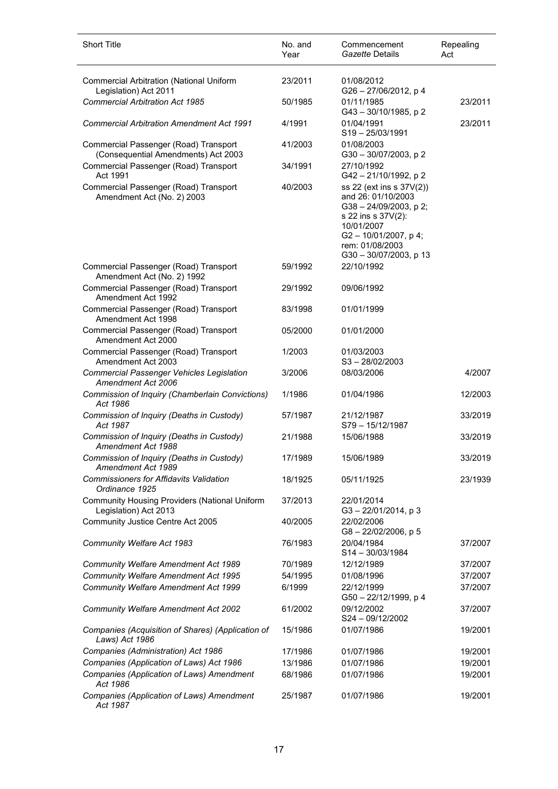| <b>Short Title</b>                                                            | No. and<br>Year | Commencement<br>Gazette Details                                                                                                                                             | Repealing<br>Act |
|-------------------------------------------------------------------------------|-----------------|-----------------------------------------------------------------------------------------------------------------------------------------------------------------------------|------------------|
| <b>Commercial Arbitration (National Uniform</b><br>Legislation) Act 2011      | 23/2011         | 01/08/2012<br>G26-27/06/2012, p 4                                                                                                                                           |                  |
| <b>Commercial Arbitration Act 1985</b>                                        | 50/1985         | 01/11/1985<br>$G43 - 30/10/1985$ , p 2                                                                                                                                      | 23/2011          |
| <b>Commercial Arbitration Amendment Act 1991</b>                              | 4/1991          | 01/04/1991<br>$S19 - 25/03/1991$                                                                                                                                            | 23/2011          |
| Commercial Passenger (Road) Transport<br>(Consequential Amendments) Act 2003  | 41/2003         | 01/08/2003<br>G30-30/07/2003, p 2                                                                                                                                           |                  |
| Commercial Passenger (Road) Transport<br>Act 1991                             | 34/1991         | 27/10/1992<br>G42-21/10/1992, p2                                                                                                                                            |                  |
| Commercial Passenger (Road) Transport<br>Amendment Act (No. 2) 2003           | 40/2003         | ss 22 (ext ins s 37V(2))<br>and 26: 01/10/2003<br>G38-24/09/2003, p 2;<br>s 22 ins s 37V(2):<br>10/01/2007<br>G2-10/01/2007, p4;<br>rem: 01/08/2003<br>G30-30/07/2003, p 13 |                  |
| Commercial Passenger (Road) Transport<br>Amendment Act (No. 2) 1992           | 59/1992         | 22/10/1992                                                                                                                                                                  |                  |
| Commercial Passenger (Road) Transport<br>Amendment Act 1992                   | 29/1992         | 09/06/1992                                                                                                                                                                  |                  |
| Commercial Passenger (Road) Transport<br>Amendment Act 1998                   | 83/1998         | 01/01/1999                                                                                                                                                                  |                  |
| Commercial Passenger (Road) Transport<br>Amendment Act 2000                   | 05/2000         | 01/01/2000                                                                                                                                                                  |                  |
| Commercial Passenger (Road) Transport<br>Amendment Act 2003                   | 1/2003          | 01/03/2003<br>$S3 - 28/02/2003$                                                                                                                                             |                  |
| <b>Commercial Passenger Vehicles Legislation</b><br>Amendment Act 2006        | 3/2006          | 08/03/2006                                                                                                                                                                  | 4/2007           |
| Commission of Inquiry (Chamberlain Convictions)<br>Act 1986                   | 1/1986          | 01/04/1986                                                                                                                                                                  | 12/2003          |
| Commission of Inquiry (Deaths in Custody)<br>Act 1987                         | 57/1987         | 21/12/1987<br>S79 - 15/12/1987                                                                                                                                              | 33/2019          |
| Commission of Inquiry (Deaths in Custody)<br>Amendment Act 1988               | 21/1988         | 15/06/1988                                                                                                                                                                  | 33/2019          |
| Commission of Inquiry (Deaths in Custody)<br>Amendment Act 1989               | 17/1989         | 15/06/1989                                                                                                                                                                  | 33/2019          |
| <b>Commissioners for Affidavits Validation</b><br>Ordinance 1925              | 18/1925         | 05/11/1925                                                                                                                                                                  | 23/1939          |
| <b>Community Housing Providers (National Uniform</b><br>Legislation) Act 2013 | 37/2013         | 22/01/2014<br>$G3 - 22/01/2014$ , p 3                                                                                                                                       |                  |
| Community Justice Centre Act 2005                                             | 40/2005         | 22/02/2006<br>$G8 - 22/02/2006$ , p 5                                                                                                                                       |                  |
| Community Welfare Act 1983                                                    | 76/1983         | 20/04/1984<br>S14-30/03/1984                                                                                                                                                | 37/2007          |
| Community Welfare Amendment Act 1989                                          | 70/1989         | 12/12/1989                                                                                                                                                                  | 37/2007          |
| Community Welfare Amendment Act 1995                                          | 54/1995         | 01/08/1996                                                                                                                                                                  | 37/2007          |
| Community Welfare Amendment Act 1999                                          | 6/1999          | 22/12/1999<br>G50 - 22/12/1999, p 4                                                                                                                                         | 37/2007          |
| <b>Community Welfare Amendment Act 2002</b>                                   | 61/2002         | 09/12/2002<br>S24-09/12/2002                                                                                                                                                | 37/2007          |
| Companies (Acquisition of Shares) (Application of<br>Laws) Act 1986           | 15/1986         | 01/07/1986                                                                                                                                                                  | 19/2001          |
| Companies (Administration) Act 1986                                           | 17/1986         | 01/07/1986                                                                                                                                                                  | 19/2001          |
| Companies (Application of Laws) Act 1986                                      | 13/1986         | 01/07/1986                                                                                                                                                                  | 19/2001          |
| Companies (Application of Laws) Amendment<br>Act 1986                         | 68/1986         | 01/07/1986                                                                                                                                                                  | 19/2001          |
| Companies (Application of Laws) Amendment<br>Act 1987                         | 25/1987         | 01/07/1986                                                                                                                                                                  | 19/2001          |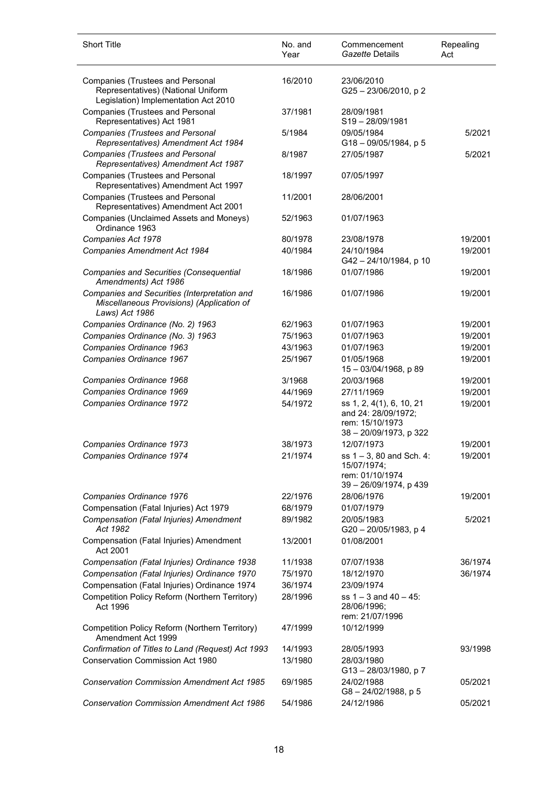| <b>Short Title</b>                                                                                                    | No. and<br>Year | Commencement<br>Gazette Details                                                              | Repealing<br>Act |
|-----------------------------------------------------------------------------------------------------------------------|-----------------|----------------------------------------------------------------------------------------------|------------------|
| <b>Companies (Trustees and Personal</b><br>Representatives) (National Uniform<br>Legislation) Implementation Act 2010 | 16/2010         | 23/06/2010<br>G25 - 23/06/2010, p 2                                                          |                  |
| <b>Companies (Trustees and Personal</b><br>Representatives) Act 1981                                                  | 37/1981         | 28/09/1981<br>S19-28/09/1981                                                                 |                  |
| <b>Companies (Trustees and Personal</b><br>Representatives) Amendment Act 1984                                        | 5/1984          | 09/05/1984<br>G18-09/05/1984, p 5                                                            | 5/2021           |
| <b>Companies (Trustees and Personal</b><br>Representatives) Amendment Act 1987                                        | 8/1987          | 27/05/1987                                                                                   | 5/2021           |
| <b>Companies (Trustees and Personal</b><br>Representatives) Amendment Act 1997                                        | 18/1997         | 07/05/1997                                                                                   |                  |
| <b>Companies (Trustees and Personal</b><br>Representatives) Amendment Act 2001                                        | 11/2001         | 28/06/2001                                                                                   |                  |
| Companies (Unclaimed Assets and Moneys)<br>Ordinance 1963                                                             | 52/1963         | 01/07/1963                                                                                   |                  |
| Companies Act 1978                                                                                                    | 80/1978         | 23/08/1978                                                                                   | 19/2001          |
| Companies Amendment Act 1984                                                                                          | 40/1984         | 24/10/1984<br>G42-24/10/1984, p 10                                                           | 19/2001          |
| Companies and Securities (Consequential<br>Amendments) Act 1986                                                       | 18/1986         | 01/07/1986                                                                                   | 19/2001          |
| Companies and Securities (Interpretation and<br>Miscellaneous Provisions) (Application of<br>Laws) Act 1986           | 16/1986         | 01/07/1986                                                                                   | 19/2001          |
| Companies Ordinance (No. 2) 1963                                                                                      | 62/1963         | 01/07/1963                                                                                   | 19/2001          |
| Companies Ordinance (No. 3) 1963                                                                                      | 75/1963         | 01/07/1963                                                                                   | 19/2001          |
| Companies Ordinance 1963                                                                                              | 43/1963         | 01/07/1963                                                                                   | 19/2001          |
| Companies Ordinance 1967                                                                                              | 25/1967         | 01/05/1968<br>15 - 03/04/1968, p 89                                                          | 19/2001          |
| Companies Ordinance 1968                                                                                              | 3/1968          | 20/03/1968                                                                                   | 19/2001          |
| Companies Ordinance 1969                                                                                              | 44/1969         | 27/11/1969                                                                                   | 19/2001          |
| Companies Ordinance 1972                                                                                              | 54/1972         | ss 1, 2, 4(1), 6, 10, 21<br>and 24: 28/09/1972;<br>rem: 15/10/1973<br>38 - 20/09/1973, p 322 | 19/2001          |
| Companies Ordinance 1973                                                                                              | 38/1973         | 12/07/1973                                                                                   | 19/2001          |
| Companies Ordinance 1974                                                                                              | 21/1974         | ss $1 - 3$ , 80 and Sch. 4:<br>15/07/1974;<br>rem: 01/10/1974<br>39 - 26/09/1974, p 439      | 19/2001          |
| Companies Ordinance 1976                                                                                              | 22/1976         | 28/06/1976                                                                                   | 19/2001          |
| Compensation (Fatal Injuries) Act 1979                                                                                | 68/1979         | 01/07/1979                                                                                   |                  |
| Compensation (Fatal Injuries) Amendment<br>Act 1982                                                                   | 89/1982         | 20/05/1983<br>G20 - 20/05/1983, p 4                                                          | 5/2021           |
| Compensation (Fatal Injuries) Amendment<br>Act 2001                                                                   | 13/2001         | 01/08/2001                                                                                   |                  |
| Compensation (Fatal Injuries) Ordinance 1938                                                                          | 11/1938         | 07/07/1938                                                                                   | 36/1974          |
| Compensation (Fatal Injuries) Ordinance 1970                                                                          | 75/1970         | 18/12/1970                                                                                   | 36/1974          |
| Compensation (Fatal Injuries) Ordinance 1974                                                                          | 36/1974         | 23/09/1974                                                                                   |                  |
| Competition Policy Reform (Northern Territory)<br>Act 1996                                                            | 28/1996         | ss $1 - 3$ and $40 - 45$ :<br>28/06/1996;<br>rem: 21/07/1996                                 |                  |
| Competition Policy Reform (Northern Territory)<br>Amendment Act 1999                                                  | 47/1999         | 10/12/1999                                                                                   |                  |
| Confirmation of Titles to Land (Request) Act 1993                                                                     | 14/1993         | 28/05/1993                                                                                   | 93/1998          |
| <b>Conservation Commission Act 1980</b>                                                                               | 13/1980         | 28/03/1980<br>G13-28/03/1980, p7                                                             |                  |
| <b>Conservation Commission Amendment Act 1985</b>                                                                     | 69/1985         | 24/02/1988<br>$G8 - 24/02/1988$ , p 5                                                        | 05/2021          |
| <b>Conservation Commission Amendment Act 1986</b>                                                                     | 54/1986         | 24/12/1986                                                                                   | 05/2021          |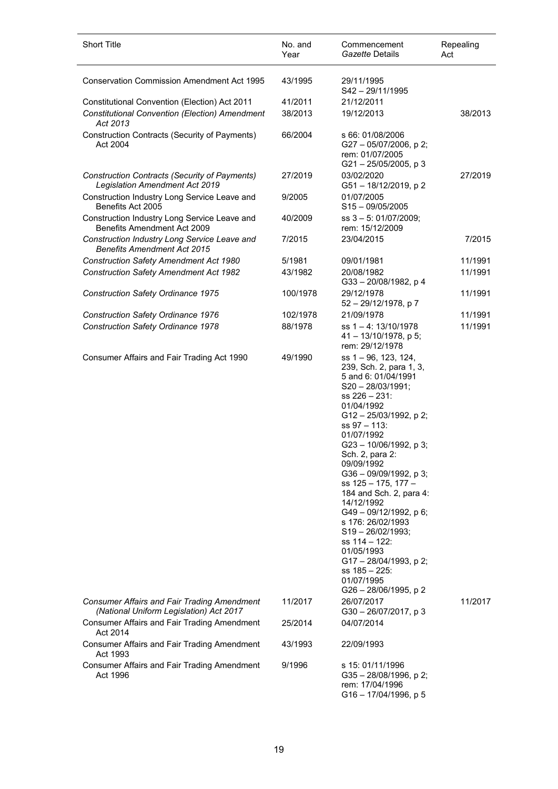| <b>Short Title</b>                                                                                            | No. and<br>Year    | Commencement<br>Gazette Details                                                                                                                                                                                                                                                                                                                                                                                                                                                                                                     | Repealing<br>Act |
|---------------------------------------------------------------------------------------------------------------|--------------------|-------------------------------------------------------------------------------------------------------------------------------------------------------------------------------------------------------------------------------------------------------------------------------------------------------------------------------------------------------------------------------------------------------------------------------------------------------------------------------------------------------------------------------------|------------------|
| <b>Conservation Commission Amendment Act 1995</b>                                                             | 43/1995            | 29/11/1995<br>S42-29/11/1995                                                                                                                                                                                                                                                                                                                                                                                                                                                                                                        |                  |
| Constitutional Convention (Election) Act 2011                                                                 | 41/2011            | 21/12/2011                                                                                                                                                                                                                                                                                                                                                                                                                                                                                                                          |                  |
| <b>Constitutional Convention (Election) Amendment</b><br>Act 2013                                             | 38/2013            | 19/12/2013                                                                                                                                                                                                                                                                                                                                                                                                                                                                                                                          | 38/2013          |
| Construction Contracts (Security of Payments)<br>Act 2004                                                     | 66/2004            | s 66: 01/08/2006<br>G27 - 05/07/2006, p 2;<br>rem: 01/07/2005<br>$G21 - 25/05/2005$ , p 3                                                                                                                                                                                                                                                                                                                                                                                                                                           |                  |
| Construction Contracts (Security of Payments)<br><b>Legislation Amendment Act 2019</b>                        | 27/2019            | 03/02/2020<br>G51-18/12/2019, p2                                                                                                                                                                                                                                                                                                                                                                                                                                                                                                    | 27/2019          |
| Construction Industry Long Service Leave and<br>Benefits Act 2005                                             | 9/2005             | 01/07/2005<br>$S15 - 09/05/2005$                                                                                                                                                                                                                                                                                                                                                                                                                                                                                                    |                  |
| Construction Industry Long Service Leave and<br>Benefits Amendment Act 2009                                   | 40/2009            | ss 3 - 5: 01/07/2009;<br>rem: 15/12/2009                                                                                                                                                                                                                                                                                                                                                                                                                                                                                            |                  |
| Construction Industry Long Service Leave and<br><b>Benefits Amendment Act 2015</b>                            | 7/2015             | 23/04/2015                                                                                                                                                                                                                                                                                                                                                                                                                                                                                                                          | 7/2015           |
| <b>Construction Safety Amendment Act 1980</b>                                                                 | 5/1981             | 09/01/1981                                                                                                                                                                                                                                                                                                                                                                                                                                                                                                                          | 11/1991          |
| <b>Construction Safety Amendment Act 1982</b>                                                                 | 43/1982            | 20/08/1982<br>G33-20/08/1982, p 4                                                                                                                                                                                                                                                                                                                                                                                                                                                                                                   | 11/1991          |
| Construction Safety Ordinance 1975                                                                            | 100/1978           | 29/12/1978<br>52 - 29/12/1978, p 7                                                                                                                                                                                                                                                                                                                                                                                                                                                                                                  | 11/1991          |
| Construction Safety Ordinance 1976                                                                            | 102/1978           | 21/09/1978                                                                                                                                                                                                                                                                                                                                                                                                                                                                                                                          | 11/1991          |
| <b>Construction Safety Ordinance 1978</b>                                                                     | 88/1978            | ss $1 - 4$ : 13/10/1978<br>$41 - 13/10/1978$ , p 5;<br>rem: 29/12/1978                                                                                                                                                                                                                                                                                                                                                                                                                                                              | 11/1991          |
| Consumer Affairs and Fair Trading Act 1990                                                                    | 49/1990            | ss 1 - 96, 123, 124,<br>239, Sch. 2, para 1, 3,<br>5 and 6: 01/04/1991<br>$S20 - 28/03/1991;$<br>ss 226 - 231:<br>01/04/1992<br>G12-25/03/1992, p 2;<br>$ss$ 97 $-$ 113:<br>01/07/1992<br>G23-10/06/1992, p 3;<br>Sch. 2, para 2:<br>09/09/1992<br>$G36 - 09/09/1992$ , p 3;<br>ss 125 - 175, 177 -<br>184 and Sch. 2, para 4:<br>14/12/1992<br>G49-09/12/1992, p 6;<br>s 176: 26/02/1993<br>$S19 - 26/02/1993;$<br>ss 114 - 122:<br>01/05/1993<br>G17 - 28/04/1993, p 2;<br>$ss$ 185 – 225:<br>01/07/1995<br>G26 - 28/06/1995, p 2 |                  |
| <b>Consumer Affairs and Fair Trading Amendment</b><br>(National Uniform Legislation) Act 2017                 | 11/2017            | 26/07/2017<br>G30-26/07/2017, p3                                                                                                                                                                                                                                                                                                                                                                                                                                                                                                    | 11/2017          |
| Consumer Affairs and Fair Trading Amendment<br>Act 2014<br><b>Consumer Affairs and Fair Trading Amendment</b> | 25/2014<br>43/1993 | 04/07/2014<br>22/09/1993                                                                                                                                                                                                                                                                                                                                                                                                                                                                                                            |                  |
| Act 1993                                                                                                      |                    |                                                                                                                                                                                                                                                                                                                                                                                                                                                                                                                                     |                  |
| <b>Consumer Affairs and Fair Trading Amendment</b><br>Act 1996                                                | 9/1996             | s 15: 01/11/1996<br>$G35 - 28/08/1996$ , p 2;<br>rem: 17/04/1996<br>G16-17/04/1996, p 5                                                                                                                                                                                                                                                                                                                                                                                                                                             |                  |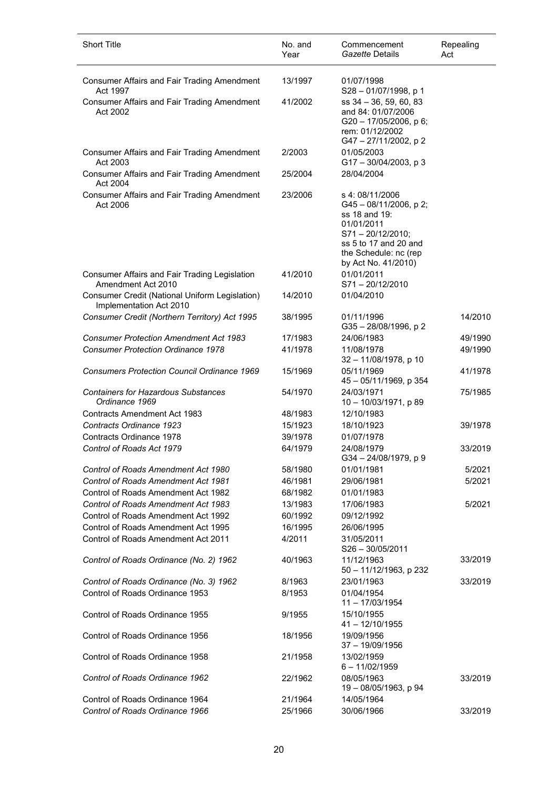| Consumer Affairs and Fair Trading Amendment<br>13/1997<br>01/07/1998<br>Act 1997<br>S28-01/07/1998, p 1<br>ss 34 - 36, 59, 60, 83<br><b>Consumer Affairs and Fair Trading Amendment</b><br>41/2002<br>Act 2002<br>and 84: 01/07/2006<br>G20 - 17/05/2006, p 6;<br>rem: 01/12/2002<br>G47 - 27/11/2002, p 2<br>01/05/2003<br>Consumer Affairs and Fair Trading Amendment<br>2/2003<br>Act 2003<br>$G17 - 30/04/2003$ , p 3<br>28/04/2004<br>Consumer Affairs and Fair Trading Amendment<br>25/2004<br>Act 2004<br>Consumer Affairs and Fair Trading Amendment<br>23/2006<br>s 4:08/11/2006<br>Act 2006<br>$G45 - 08/11/2006$ , p 2;<br>ss 18 and 19:<br>01/01/2011 | <b>Short Title</b> | No. and<br>Year | Commencement<br>Gazette Details | Repealing<br>Act |
|-------------------------------------------------------------------------------------------------------------------------------------------------------------------------------------------------------------------------------------------------------------------------------------------------------------------------------------------------------------------------------------------------------------------------------------------------------------------------------------------------------------------------------------------------------------------------------------------------------------------------------------------------------------------|--------------------|-----------------|---------------------------------|------------------|
|                                                                                                                                                                                                                                                                                                                                                                                                                                                                                                                                                                                                                                                                   |                    |                 |                                 |                  |
|                                                                                                                                                                                                                                                                                                                                                                                                                                                                                                                                                                                                                                                                   |                    |                 |                                 |                  |
|                                                                                                                                                                                                                                                                                                                                                                                                                                                                                                                                                                                                                                                                   |                    |                 |                                 |                  |
|                                                                                                                                                                                                                                                                                                                                                                                                                                                                                                                                                                                                                                                                   |                    |                 |                                 |                  |
| ss 5 to 17 and 20 and<br>the Schedule: nc (rep<br>by Act No. 41/2010)                                                                                                                                                                                                                                                                                                                                                                                                                                                                                                                                                                                             |                    |                 | $S71 - 20/12/2010$ ;            |                  |
| 01/01/2011<br>41/2010<br>Consumer Affairs and Fair Trading Legislation<br>Amendment Act 2010<br>$S71 - 20/12/2010$                                                                                                                                                                                                                                                                                                                                                                                                                                                                                                                                                |                    |                 |                                 |                  |
| Consumer Credit (National Uniform Legislation)<br>01/04/2010<br>14/2010<br>Implementation Act 2010                                                                                                                                                                                                                                                                                                                                                                                                                                                                                                                                                                |                    |                 |                                 |                  |
| Consumer Credit (Northern Territory) Act 1995<br>38/1995<br>01/11/1996<br>G35-28/08/1996, p2                                                                                                                                                                                                                                                                                                                                                                                                                                                                                                                                                                      |                    |                 |                                 | 14/2010          |
| <b>Consumer Protection Amendment Act 1983</b><br>17/1983<br>24/06/1983                                                                                                                                                                                                                                                                                                                                                                                                                                                                                                                                                                                            |                    |                 |                                 | 49/1990          |
| <b>Consumer Protection Ordinance 1978</b><br>41/1978<br>11/08/1978<br>32 - 11/08/1978, p 10                                                                                                                                                                                                                                                                                                                                                                                                                                                                                                                                                                       |                    |                 |                                 | 49/1990          |
| <b>Consumers Protection Council Ordinance 1969</b><br>05/11/1969<br>15/1969<br>45 - 05/11/1969, p 354                                                                                                                                                                                                                                                                                                                                                                                                                                                                                                                                                             |                    |                 |                                 | 41/1978          |
| <b>Containers for Hazardous Substances</b><br>24/03/1971<br>54/1970<br>Ordinance 1969<br>10 - 10/03/1971, p 89                                                                                                                                                                                                                                                                                                                                                                                                                                                                                                                                                    |                    |                 |                                 | 75/1985          |
| 12/10/1983<br>Contracts Amendment Act 1983<br>48/1983                                                                                                                                                                                                                                                                                                                                                                                                                                                                                                                                                                                                             |                    |                 |                                 |                  |
| 18/10/1923<br>Contracts Ordinance 1923<br>15/1923                                                                                                                                                                                                                                                                                                                                                                                                                                                                                                                                                                                                                 |                    |                 |                                 | 39/1978          |
| Contracts Ordinance 1978<br>39/1978<br>01/07/1978                                                                                                                                                                                                                                                                                                                                                                                                                                                                                                                                                                                                                 |                    |                 |                                 |                  |
| Control of Roads Act 1979<br>64/1979<br>24/08/1979<br>G34-24/08/1979, p9                                                                                                                                                                                                                                                                                                                                                                                                                                                                                                                                                                                          |                    |                 |                                 | 33/2019          |
| Control of Roads Amendment Act 1980<br>01/01/1981<br>58/1980                                                                                                                                                                                                                                                                                                                                                                                                                                                                                                                                                                                                      |                    |                 |                                 | 5/2021           |
| <b>Control of Roads Amendment Act 1981</b><br>29/06/1981<br>46/1981                                                                                                                                                                                                                                                                                                                                                                                                                                                                                                                                                                                               |                    |                 |                                 | 5/2021           |
| Control of Roads Amendment Act 1982<br>01/01/1983<br>68/1982                                                                                                                                                                                                                                                                                                                                                                                                                                                                                                                                                                                                      |                    |                 |                                 |                  |
| Control of Roads Amendment Act 1983<br>13/1983<br>17/06/1983                                                                                                                                                                                                                                                                                                                                                                                                                                                                                                                                                                                                      |                    |                 |                                 | 5/2021           |
| Control of Roads Amendment Act 1992<br>60/1992<br>09/12/1992                                                                                                                                                                                                                                                                                                                                                                                                                                                                                                                                                                                                      |                    |                 |                                 |                  |
| Control of Roads Amendment Act 1995<br>16/1995<br>26/06/1995                                                                                                                                                                                                                                                                                                                                                                                                                                                                                                                                                                                                      |                    |                 |                                 |                  |
| Control of Roads Amendment Act 2011<br>4/2011<br>31/05/2011                                                                                                                                                                                                                                                                                                                                                                                                                                                                                                                                                                                                       |                    |                 |                                 |                  |
| $S26 - 30/05/2011$<br>Control of Roads Ordinance (No. 2) 1962<br>11/12/1963<br>40/1963                                                                                                                                                                                                                                                                                                                                                                                                                                                                                                                                                                            |                    |                 |                                 | 33/2019          |
| 50 - 11/12/1963, p 232<br>Control of Roads Ordinance (No. 3) 1962<br>8/1963<br>23/01/1963                                                                                                                                                                                                                                                                                                                                                                                                                                                                                                                                                                         |                    |                 |                                 | 33/2019          |
| Control of Roads Ordinance 1953<br>8/1953<br>01/04/1954                                                                                                                                                                                                                                                                                                                                                                                                                                                                                                                                                                                                           |                    |                 |                                 |                  |
| $11 - 17/03/1954$<br>Control of Roads Ordinance 1955<br>9/1955<br>15/10/1955<br>$41 - 12/10/1955$                                                                                                                                                                                                                                                                                                                                                                                                                                                                                                                                                                 |                    |                 |                                 |                  |
| Control of Roads Ordinance 1956<br>18/1956<br>19/09/1956<br>$37 - 19/09/1956$                                                                                                                                                                                                                                                                                                                                                                                                                                                                                                                                                                                     |                    |                 |                                 |                  |
| Control of Roads Ordinance 1958<br>21/1958<br>13/02/1959<br>$6 - 11/02/1959$                                                                                                                                                                                                                                                                                                                                                                                                                                                                                                                                                                                      |                    |                 |                                 |                  |
| Control of Roads Ordinance 1962<br>08/05/1963<br>22/1962<br>19 - 08/05/1963, p 94                                                                                                                                                                                                                                                                                                                                                                                                                                                                                                                                                                                 |                    |                 |                                 | 33/2019          |
| Control of Roads Ordinance 1964<br>21/1964<br>14/05/1964<br>Control of Roads Ordinance 1966<br>30/06/1966<br>25/1966                                                                                                                                                                                                                                                                                                                                                                                                                                                                                                                                              |                    |                 |                                 | 33/2019          |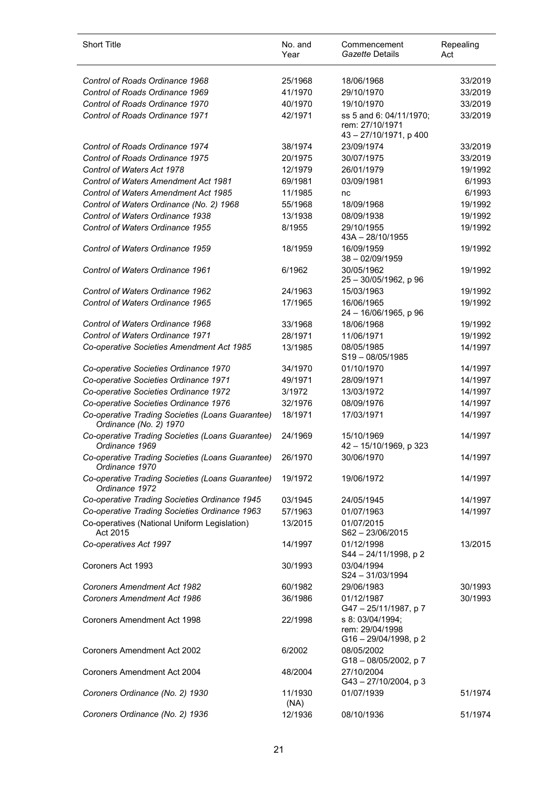| <b>Short Title</b>                                                         | No. and<br>Year | Commencement<br>Gazette Details                                      | Repealing<br>Act |
|----------------------------------------------------------------------------|-----------------|----------------------------------------------------------------------|------------------|
| Control of Roads Ordinance 1968                                            | 25/1968         | 18/06/1968                                                           | 33/2019          |
| Control of Roads Ordinance 1969                                            | 41/1970         | 29/10/1970                                                           | 33/2019          |
| Control of Roads Ordinance 1970                                            | 40/1970         | 19/10/1970                                                           | 33/2019          |
| Control of Roads Ordinance 1971                                            | 42/1971         | ss 5 and 6: 04/11/1970;<br>rem: 27/10/1971<br>43 - 27/10/1971, p 400 | 33/2019          |
| Control of Roads Ordinance 1974                                            | 38/1974         | 23/09/1974                                                           | 33/2019          |
| Control of Roads Ordinance 1975                                            | 20/1975         | 30/07/1975                                                           | 33/2019          |
| Control of Waters Act 1978                                                 | 12/1979         | 26/01/1979                                                           | 19/1992          |
| <b>Control of Waters Amendment Act 1981</b>                                | 69/1981         | 03/09/1981                                                           | 6/1993           |
| Control of Waters Amendment Act 1985                                       | 11/1985         | nc                                                                   | 6/1993           |
| Control of Waters Ordinance (No. 2) 1968                                   | 55/1968         | 18/09/1968                                                           | 19/1992          |
| Control of Waters Ordinance 1938                                           | 13/1938         | 08/09/1938                                                           | 19/1992          |
| Control of Waters Ordinance 1955                                           | 8/1955          | 29/10/1955<br>$43A - 28/10/1955$                                     | 19/1992          |
| Control of Waters Ordinance 1959                                           | 18/1959         | 16/09/1959<br>$38 - 02/09/1959$                                      | 19/1992          |
| Control of Waters Ordinance 1961                                           | 6/1962          | 30/05/1962<br>25 - 30/05/1962, p 96                                  | 19/1992          |
| Control of Waters Ordinance 1962                                           | 24/1963         | 15/03/1963                                                           | 19/1992          |
| Control of Waters Ordinance 1965                                           | 17/1965         | 16/06/1965<br>24 - 16/06/1965, p 96                                  | 19/1992          |
| Control of Waters Ordinance 1968                                           | 33/1968         | 18/06/1968                                                           | 19/1992          |
| Control of Waters Ordinance 1971                                           | 28/1971         | 11/06/1971                                                           | 19/1992          |
| Co-operative Societies Amendment Act 1985                                  | 13/1985         | 08/05/1985<br>$S19 - 08/05/1985$                                     | 14/1997          |
| Co-operative Societies Ordinance 1970                                      | 34/1970         | 01/10/1970                                                           | 14/1997          |
| Co-operative Societies Ordinance 1971                                      | 49/1971         | 28/09/1971                                                           | 14/1997          |
| Co-operative Societies Ordinance 1972                                      | 3/1972          | 13/03/1972                                                           | 14/1997          |
| Co-operative Societies Ordinance 1976                                      | 32/1976         | 08/09/1976                                                           | 14/1997          |
| Co-operative Trading Societies (Loans Guarantee)<br>Ordinance (No. 2) 1970 | 18/1971         | 17/03/1971                                                           | 14/1997          |
| Co-operative Trading Societies (Loans Guarantee)<br>Ordinance 1969         | 24/1969         | 15/10/1969<br>42 - 15/10/1969, p 323                                 | 14/1997          |
| Co-operative Trading Societies (Loans Guarantee)<br>Ordinance 1970         | 26/1970         | 30/06/1970                                                           | 14/1997          |
| Co-operative Trading Societies (Loans Guarantee)<br>Ordinance 1972         | 19/1972         | 19/06/1972                                                           | 14/1997          |
| Co-operative Trading Societies Ordinance 1945                              | 03/1945         | 24/05/1945                                                           | 14/1997          |
| Co-operative Trading Societies Ordinance 1963                              | 57/1963         | 01/07/1963                                                           | 14/1997          |
| Co-operatives (National Uniform Legislation)<br>Act 2015                   | 13/2015         | 01/07/2015<br>S62-23/06/2015                                         |                  |
| Co-operatives Act 1997                                                     | 14/1997         | 01/12/1998<br>S44 - 24/11/1998, p 2                                  | 13/2015          |
| Coroners Act 1993                                                          | 30/1993         | 03/04/1994<br>$S24 - 31/03/1994$                                     |                  |
| <b>Coroners Amendment Act 1982</b>                                         | 60/1982         | 29/06/1983                                                           | 30/1993          |
| <b>Coroners Amendment Act 1986</b>                                         | 36/1986         | 01/12/1987<br>G47-25/11/1987, p7                                     | 30/1993          |
| Coroners Amendment Act 1998                                                | 22/1998         | s 8: 03/04/1994;<br>rem: 29/04/1998<br>G16 - 29/04/1998, p 2         |                  |
| <b>Coroners Amendment Act 2002</b>                                         | 6/2002          | 08/05/2002<br>G18-08/05/2002, p 7                                    |                  |
| Coroners Amendment Act 2004                                                | 48/2004         | 27/10/2004<br>G43-27/10/2004, p3                                     |                  |
| Coroners Ordinance (No. 2) 1930                                            | 11/1930<br>(NA) | 01/07/1939                                                           | 51/1974          |
| Coroners Ordinance (No. 2) 1936                                            | 12/1936         | 08/10/1936                                                           | 51/1974          |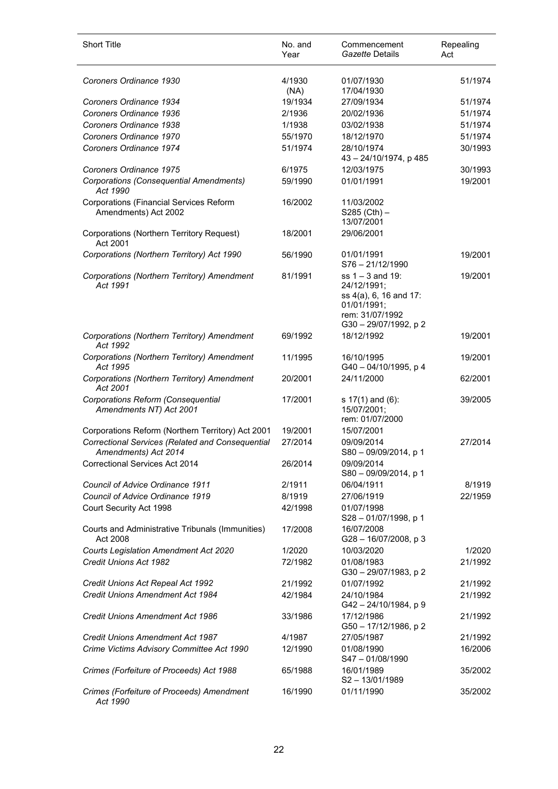| <b>Short Title</b>                                                       | No. and<br>Year | Commencement<br>Gazette Details                                                                                        | Repealing<br>Act |
|--------------------------------------------------------------------------|-----------------|------------------------------------------------------------------------------------------------------------------------|------------------|
| Coroners Ordinance 1930                                                  | 4/1930<br>(NA)  | 01/07/1930<br>17/04/1930                                                                                               | 51/1974          |
| Coroners Ordinance 1934                                                  | 19/1934         | 27/09/1934                                                                                                             | 51/1974          |
| Coroners Ordinance 1936                                                  | 2/1936          | 20/02/1936                                                                                                             | 51/1974          |
| Coroners Ordinance 1938                                                  | 1/1938          | 03/02/1938                                                                                                             | 51/1974          |
| Coroners Ordinance 1970                                                  | 55/1970         | 18/12/1970                                                                                                             | 51/1974          |
| Coroners Ordinance 1974                                                  | 51/1974         | 28/10/1974<br>43 - 24/10/1974, p 485                                                                                   | 30/1993          |
| Coroners Ordinance 1975                                                  | 6/1975          | 12/03/1975                                                                                                             | 30/1993          |
| Corporations (Consequential Amendments)<br>Act 1990                      | 59/1990         | 01/01/1991                                                                                                             | 19/2001          |
| Corporations (Financial Services Reform<br>Amendments) Act 2002          | 16/2002         | 11/03/2002<br>$S285$ (Cth) –<br>13/07/2001                                                                             |                  |
| Corporations (Northern Territory Request)<br>Act 2001                    | 18/2001         | 29/06/2001                                                                                                             |                  |
| Corporations (Northern Territory) Act 1990                               | 56/1990         | 01/01/1991<br>S76-21/12/1990                                                                                           | 19/2001          |
| Corporations (Northern Territory) Amendment<br>Act 1991                  | 81/1991         | $ss 1 - 3$ and 19:<br>24/12/1991;<br>ss 4(a), 6, 16 and 17:<br>01/01/1991;<br>rem: 31/07/1992<br>G30 - 29/07/1992, p 2 | 19/2001          |
| Corporations (Northern Territory) Amendment<br>Act 1992                  | 69/1992         | 18/12/1992                                                                                                             | 19/2001          |
| Corporations (Northern Territory) Amendment<br>Act 1995                  | 11/1995         | 16/10/1995<br>G40 - 04/10/1995, p 4                                                                                    | 19/2001          |
| Corporations (Northern Territory) Amendment<br>Act 2001                  | 20/2001         | 24/11/2000                                                                                                             | 62/2001          |
| Corporations Reform (Consequential<br>Amendments NT) Act 2001            | 17/2001         | s $17(1)$ and $(6)$ :<br>15/07/2001;<br>rem: 01/07/2000                                                                | 39/2005          |
| Corporations Reform (Northern Territory) Act 2001                        | 19/2001         | 15/07/2001                                                                                                             |                  |
| Correctional Services (Related and Consequential<br>Amendments) Act 2014 | 27/2014         | 09/09/2014<br>$S80 - 09/09/2014$ , p 1                                                                                 | 27/2014          |
| Correctional Services Act 2014                                           | 26/2014         | 09/09/2014<br>S80 - 09/09/2014, p 1                                                                                    |                  |
| Council of Advice Ordinance 1911                                         | 2/1911          | 06/04/1911                                                                                                             | 8/1919           |
| Council of Advice Ordinance 1919                                         | 8/1919          | 27/06/1919                                                                                                             | 22/1959          |
| Court Security Act 1998                                                  | 42/1998         | 01/07/1998<br>S28-01/07/1998, p 1                                                                                      |                  |
| Courts and Administrative Tribunals (Immunities)<br>Act 2008             | 17/2008         | 16/07/2008<br>G28-16/07/2008, p 3                                                                                      |                  |
| Courts Legislation Amendment Act 2020                                    | 1/2020          | 10/03/2020                                                                                                             | 1/2020           |
| Credit Unions Act 1982                                                   | 72/1982         | 01/08/1983<br>G30-29/07/1983, p2                                                                                       | 21/1992          |
| Credit Unions Act Repeal Act 1992                                        | 21/1992         | 01/07/1992                                                                                                             | 21/1992          |
| <b>Credit Unions Amendment Act 1984</b>                                  | 42/1984         | 24/10/1984<br>G42 - 24/10/1984, p 9                                                                                    | 21/1992          |
| <b>Credit Unions Amendment Act 1986</b>                                  | 33/1986         | 17/12/1986<br>G50 - 17/12/1986, p 2                                                                                    | 21/1992          |
| <b>Credit Unions Amendment Act 1987</b>                                  | 4/1987          | 27/05/1987                                                                                                             | 21/1992          |
| Crime Victims Advisory Committee Act 1990                                | 12/1990         | 01/08/1990<br>$S47 - 01/08/1990$                                                                                       | 16/2006          |
| Crimes (Forfeiture of Proceeds) Act 1988                                 | 65/1988         | 16/01/1989<br>S2-13/01/1989                                                                                            | 35/2002          |
| Crimes (Forfeiture of Proceeds) Amendment<br>Act 1990                    | 16/1990         | 01/11/1990                                                                                                             | 35/2002          |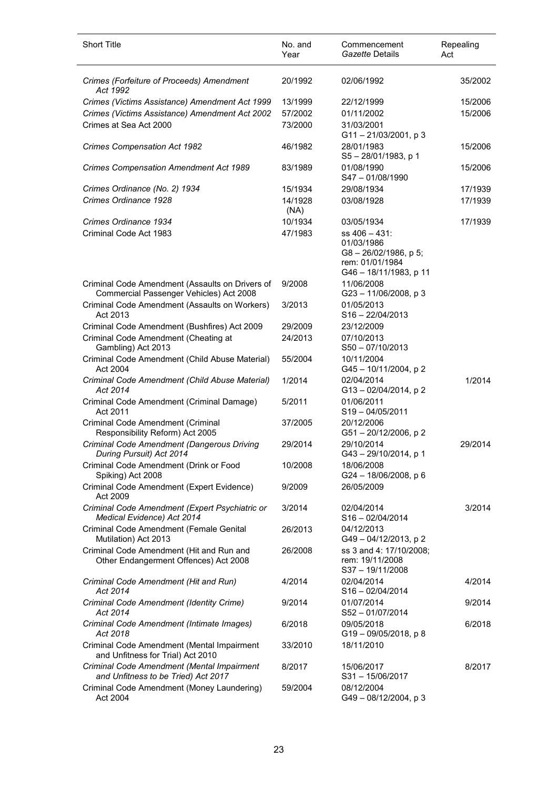| <b>Short Title</b>                                                                         | No. and<br>Year | Commencement<br>Gazette Details                                                                          | Repealing<br>Act |
|--------------------------------------------------------------------------------------------|-----------------|----------------------------------------------------------------------------------------------------------|------------------|
| Crimes (Forfeiture of Proceeds) Amendment<br>Act 1992                                      | 20/1992         | 02/06/1992                                                                                               | 35/2002          |
| Crimes (Victims Assistance) Amendment Act 1999                                             | 13/1999         | 22/12/1999                                                                                               | 15/2006          |
| Crimes (Victims Assistance) Amendment Act 2002                                             | 57/2002         | 01/11/2002                                                                                               | 15/2006          |
| Crimes at Sea Act 2000                                                                     | 73/2000         | 31/03/2001<br>G11-21/03/2001, p3                                                                         |                  |
| Crimes Compensation Act 1982                                                               | 46/1982         | 28/01/1983<br>$S5 - 28/01/1983$ , p 1                                                                    | 15/2006          |
| <b>Crimes Compensation Amendment Act 1989</b>                                              | 83/1989         | 01/08/1990<br>$S47 - 01/08/1990$                                                                         | 15/2006          |
| Crimes Ordinance (No. 2) 1934                                                              | 15/1934         | 29/08/1934                                                                                               | 17/1939          |
| Crimes Ordinance 1928                                                                      | 14/1928<br>(NA) | 03/08/1928                                                                                               | 17/1939          |
| Crimes Ordinance 1934                                                                      | 10/1934         | 03/05/1934                                                                                               | 17/1939          |
| Criminal Code Act 1983                                                                     | 47/1983         | $ss$ 406 $-$ 431:<br>01/03/1986<br>$G8 - 26/02/1986$ , p 5;<br>rem: 01/01/1984<br>G46 - 18/11/1983, p 11 |                  |
| Criminal Code Amendment (Assaults on Drivers of<br>Commercial Passenger Vehicles) Act 2008 | 9/2008          | 11/06/2008<br>G23-11/06/2008, p 3                                                                        |                  |
| Criminal Code Amendment (Assaults on Workers)<br>Act 2013                                  | 3/2013          | 01/05/2013<br>$S16 - 22/04/2013$                                                                         |                  |
| Criminal Code Amendment (Bushfires) Act 2009                                               | 29/2009         | 23/12/2009                                                                                               |                  |
| Criminal Code Amendment (Cheating at<br>Gambling) Act 2013                                 | 24/2013         | 07/10/2013<br>$S50 - 07/10/2013$                                                                         |                  |
| Criminal Code Amendment (Child Abuse Material)<br>Act 2004                                 | 55/2004         | 10/11/2004<br>G45-10/11/2004, p2                                                                         |                  |
| Criminal Code Amendment (Child Abuse Material)<br>Act 2014                                 | 1/2014          | 02/04/2014<br>G13-02/04/2014, p2                                                                         | 1/2014           |
| Criminal Code Amendment (Criminal Damage)<br>Act 2011                                      | 5/2011          | 01/06/2011<br>$S19 - 04/05/2011$                                                                         |                  |
| Criminal Code Amendment (Criminal<br>Responsibility Reform) Act 2005                       | 37/2005         | 20/12/2006<br>G51-20/12/2006, p2                                                                         |                  |
| Criminal Code Amendment (Dangerous Driving<br>During Pursuit) Act 2014                     | 29/2014         | 29/10/2014<br>G43-29/10/2014, p 1                                                                        | 29/2014          |
| Criminal Code Amendment (Drink or Food<br>Spiking) Act 2008                                | 10/2008         | 18/06/2008<br>G24 - 18/06/2008, p 6                                                                      |                  |
| Criminal Code Amendment (Expert Evidence)<br>Act 2009                                      | 9/2009          | 26/05/2009                                                                                               |                  |
| Criminal Code Amendment (Expert Psychiatric or<br>Medical Evidence) Act 2014               | 3/2014          | 02/04/2014<br>$S16 - 02/04/2014$                                                                         | 3/2014           |
| Criminal Code Amendment (Female Genital<br>Mutilation) Act 2013                            | 26/2013         | 04/12/2013<br>G49-04/12/2013, p2                                                                         |                  |
| Criminal Code Amendment (Hit and Run and<br>Other Endangerment Offences) Act 2008          | 26/2008         | ss 3 and 4: 17/10/2008;<br>rem: 19/11/2008<br>S37-19/11/2008                                             |                  |
| Criminal Code Amendment (Hit and Run)<br>Act 2014                                          | 4/2014          | 02/04/2014<br>$S16 - 02/04/2014$                                                                         | 4/2014           |
| Criminal Code Amendment (Identity Crime)<br>Act 2014                                       | 9/2014          | 01/07/2014<br>S52-01/07/2014                                                                             | 9/2014           |
| Criminal Code Amendment (Intimate Images)<br>Act 2018                                      | 6/2018          | 09/05/2018<br>G19-09/05/2018, p8                                                                         | 6/2018           |
| Criminal Code Amendment (Mental Impairment<br>and Unfitness for Trial) Act 2010            | 33/2010         | 18/11/2010                                                                                               |                  |
| Criminal Code Amendment (Mental Impairment<br>and Unfitness to be Tried) Act 2017          | 8/2017          | 15/06/2017<br>S31-15/06/2017                                                                             | 8/2017           |
| Criminal Code Amendment (Money Laundering)<br>Act 2004                                     | 59/2004         | 08/12/2004<br>G49-08/12/2004, p 3                                                                        |                  |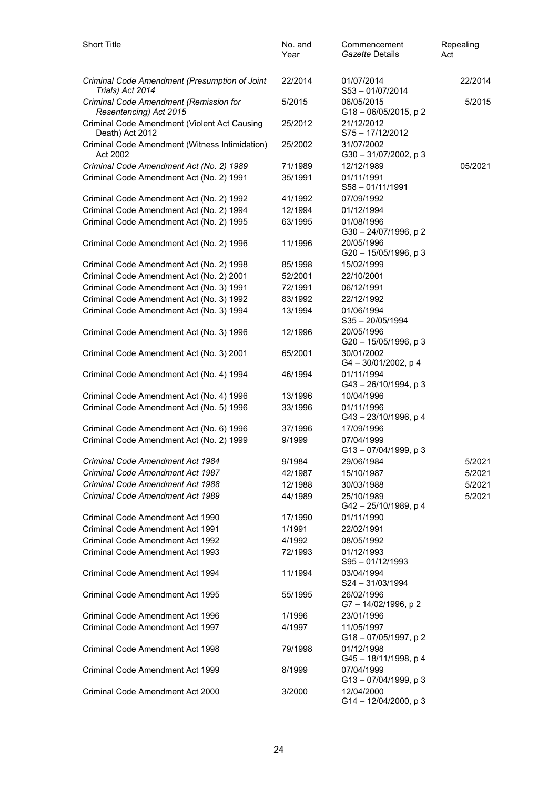| <b>Short Title</b>                                                | No. and<br>Year | Commencement<br>Gazette Details        | Repealing<br>Act |
|-------------------------------------------------------------------|-----------------|----------------------------------------|------------------|
| Criminal Code Amendment (Presumption of Joint<br>Trials) Act 2014 | 22/2014         | 01/07/2014<br>S53-01/07/2014           | 22/2014          |
| Criminal Code Amendment (Remission for<br>Resentencing) Act 2015  | 5/2015          | 06/05/2015<br>$G18 - 06/05/2015$ , p 2 | 5/2015           |
| Criminal Code Amendment (Violent Act Causing<br>Death) Act 2012   | 25/2012         | 21/12/2012<br>S75-17/12/2012           |                  |
| Criminal Code Amendment (Witness Intimidation)<br>Act 2002        | 25/2002         | 31/07/2002<br>G30-31/07/2002, p3       |                  |
| Criminal Code Amendment Act (No. 2) 1989                          | 71/1989         | 12/12/1989                             | 05/2021          |
| Criminal Code Amendment Act (No. 2) 1991                          | 35/1991         | 01/11/1991<br>$S58 - 01/11/1991$       |                  |
| Criminal Code Amendment Act (No. 2) 1992                          | 41/1992         | 07/09/1992                             |                  |
| Criminal Code Amendment Act (No. 2) 1994                          | 12/1994         | 01/12/1994                             |                  |
| Criminal Code Amendment Act (No. 2) 1995                          | 63/1995         | 01/08/1996<br>G30-24/07/1996, p2       |                  |
| Criminal Code Amendment Act (No. 2) 1996                          | 11/1996         | 20/05/1996<br>G20 - 15/05/1996, p 3    |                  |
| Criminal Code Amendment Act (No. 2) 1998                          | 85/1998         | 15/02/1999                             |                  |
| Criminal Code Amendment Act (No. 2) 2001                          | 52/2001         | 22/10/2001                             |                  |
| Criminal Code Amendment Act (No. 3) 1991                          | 72/1991         | 06/12/1991                             |                  |
| Criminal Code Amendment Act (No. 3) 1992                          | 83/1992         | 22/12/1992                             |                  |
| Criminal Code Amendment Act (No. 3) 1994                          | 13/1994         | 01/06/1994<br>$S35 - 20/05/1994$       |                  |
| Criminal Code Amendment Act (No. 3) 1996                          | 12/1996         | 20/05/1996<br>G20 - 15/05/1996, p 3    |                  |
| Criminal Code Amendment Act (No. 3) 2001                          | 65/2001         | 30/01/2002<br>$G4 - 30/01/2002$ , p 4  |                  |
| Criminal Code Amendment Act (No. 4) 1994                          | 46/1994         | 01/11/1994<br>G43-26/10/1994, p 3      |                  |
| Criminal Code Amendment Act (No. 4) 1996                          | 13/1996         | 10/04/1996                             |                  |
| Criminal Code Amendment Act (No. 5) 1996                          | 33/1996         | 01/11/1996<br>G43-23/10/1996, p 4      |                  |
| Criminal Code Amendment Act (No. 6) 1996                          | 37/1996         | 17/09/1996                             |                  |
| Criminal Code Amendment Act (No. 2) 1999                          | 9/1999          | 07/04/1999<br>G13-07/04/1999, p3       |                  |
| Criminal Code Amendment Act 1984                                  | 9/1984          | 29/06/1984                             | 5/2021           |
| Criminal Code Amendment Act 1987                                  | 42/1987         | 15/10/1987                             | 5/2021           |
| Criminal Code Amendment Act 1988                                  | 12/1988         | 30/03/1988                             | 5/2021           |
| Criminal Code Amendment Act 1989                                  | 44/1989         | 25/10/1989<br>G42 - 25/10/1989, p 4    | 5/2021           |
| Criminal Code Amendment Act 1990                                  | 17/1990         | 01/11/1990                             |                  |
| Criminal Code Amendment Act 1991                                  | 1/1991          | 22/02/1991                             |                  |
| Criminal Code Amendment Act 1992                                  | 4/1992          | 08/05/1992                             |                  |
| Criminal Code Amendment Act 1993                                  | 72/1993         | 01/12/1993<br>$S95 - 01/12/1993$       |                  |
| Criminal Code Amendment Act 1994                                  | 11/1994         | 03/04/1994<br>$S24 - 31/03/1994$       |                  |
| Criminal Code Amendment Act 1995                                  | 55/1995         | 26/02/1996<br>G7-14/02/1996, p2        |                  |
| Criminal Code Amendment Act 1996                                  | 1/1996          | 23/01/1996                             |                  |
| Criminal Code Amendment Act 1997                                  | 4/1997          | 11/05/1997<br>G18-07/05/1997, p2       |                  |
| Criminal Code Amendment Act 1998                                  | 79/1998         | 01/12/1998<br>G45-18/11/1998, p 4      |                  |
| Criminal Code Amendment Act 1999                                  | 8/1999          | 07/04/1999<br>G13-07/04/1999, p 3      |                  |
| Criminal Code Amendment Act 2000                                  | 3/2000          | 12/04/2000<br>G14-12/04/2000, p3       |                  |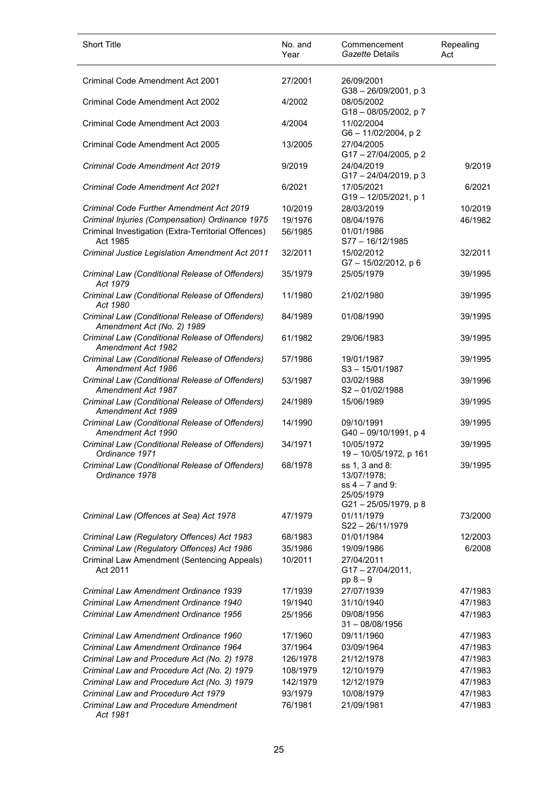| <b>Short Title</b>                                                            | No. and<br>Year | Commencement<br>Gazette Details                                                         | Repealing<br>Act |
|-------------------------------------------------------------------------------|-----------------|-----------------------------------------------------------------------------------------|------------------|
| Criminal Code Amendment Act 2001                                              | 27/2001         | 26/09/2001<br>$G38 - 26/09/2001$ , p 3                                                  |                  |
| Criminal Code Amendment Act 2002                                              | 4/2002          | 08/05/2002<br>G18-08/05/2002, p7                                                        |                  |
| Criminal Code Amendment Act 2003                                              | 4/2004          | 11/02/2004<br>G6-11/02/2004, p2                                                         |                  |
| Criminal Code Amendment Act 2005                                              | 13/2005         | 27/04/2005<br>G17-27/04/2005, p2                                                        |                  |
| Criminal Code Amendment Act 2019                                              | 9/2019          | 24/04/2019<br>G17-24/04/2019, p3                                                        | 9/2019           |
| Criminal Code Amendment Act 2021                                              | 6/2021          | 17/05/2021<br>G19-12/05/2021, p 1                                                       | 6/2021           |
| Criminal Code Further Amendment Act 2019                                      | 10/2019         | 28/03/2019                                                                              | 10/2019          |
| Criminal Injuries (Compensation) Ordinance 1975                               | 19/1976         | 08/04/1976                                                                              | 46/1982          |
| Criminal Investigation (Extra-Territorial Offences)<br>Act 1985               | 56/1985         | 01/01/1986<br>S77-16/12/1985                                                            |                  |
| Criminal Justice Legislation Amendment Act 2011                               | 32/2011         | 15/02/2012<br>G7-15/02/2012, p6                                                         | 32/2011          |
| Criminal Law (Conditional Release of Offenders)<br>Act 1979                   | 35/1979         | 25/05/1979                                                                              | 39/1995          |
| Criminal Law (Conditional Release of Offenders)<br>Act 1980                   | 11/1980         | 21/02/1980                                                                              | 39/1995          |
| Criminal Law (Conditional Release of Offenders)<br>Amendment Act (No. 2) 1989 | 84/1989         | 01/08/1990                                                                              | 39/1995          |
| Criminal Law (Conditional Release of Offenders)<br>Amendment Act 1982         | 61/1982         | 29/06/1983                                                                              | 39/1995          |
| Criminal Law (Conditional Release of Offenders)<br>Amendment Act 1986         | 57/1986         | 19/01/1987<br>$S3 - 15/01/1987$                                                         | 39/1995          |
| Criminal Law (Conditional Release of Offenders)<br>Amendment Act 1987         | 53/1987         | 03/02/1988<br>$S2 - 01/02/1988$                                                         | 39/1996          |
| Criminal Law (Conditional Release of Offenders)<br>Amendment Act 1989         | 24/1989         | 15/06/1989                                                                              | 39/1995          |
| Criminal Law (Conditional Release of Offenders)<br>Amendment Act 1990         | 14/1990         | 09/10/1991<br>G40-09/10/1991, p4                                                        | 39/1995          |
| Criminal Law (Conditional Release of Offenders)<br>Ordinance 1971             | 34/1971         | 10/05/1972<br>19-10/05/1972, p 161                                                      | 39/1995          |
| Criminal Law (Conditional Release of Offenders)<br>Ordinance 1978             | 68/1978         | ss 1, 3 and 8:<br>13/07/1978;<br>$ss$ 4 – 7 and 9:<br>25/05/1979<br>G21-25/05/1979, p 8 | 39/1995          |
| Criminal Law (Offences at Sea) Act 1978                                       | 47/1979         | 01/11/1979<br>S22-26/11/1979                                                            | 73/2000          |
| Criminal Law (Regulatory Offences) Act 1983                                   | 68/1983         | 01/01/1984                                                                              | 12/2003          |
| Criminal Law (Regulatory Offences) Act 1986                                   | 35/1986         | 19/09/1986                                                                              | 6/2008           |
| Criminal Law Amendment (Sentencing Appeals)<br>Act 2011                       | 10/2011         | 27/04/2011<br>G17-27/04/2011,<br>$pp 8 - 9$                                             |                  |
| Criminal Law Amendment Ordinance 1939                                         | 17/1939         | 27/07/1939                                                                              | 47/1983          |
| Criminal Law Amendment Ordinance 1940                                         | 19/1940         | 31/10/1940                                                                              | 47/1983          |
| Criminal Law Amendment Ordinance 1956                                         | 25/1956         | 09/08/1956<br>$31 - 08/08/1956$                                                         | 47/1983          |
| Criminal Law Amendment Ordinance 1960                                         | 17/1960         | 09/11/1960                                                                              | 47/1983          |
| Criminal Law Amendment Ordinance 1964                                         | 37/1964         | 03/09/1964                                                                              | 47/1983          |
| Criminal Law and Procedure Act (No. 2) 1978                                   | 126/1978        | 21/12/1978                                                                              | 47/1983          |
| Criminal Law and Procedure Act (No. 2) 1979                                   | 108/1979        | 12/10/1979                                                                              | 47/1983          |
| Criminal Law and Procedure Act (No. 3) 1979                                   | 142/1979        | 12/12/1979                                                                              | 47/1983          |
| Criminal Law and Procedure Act 1979                                           | 93/1979         | 10/08/1979                                                                              | 47/1983          |
| <b>Criminal Law and Procedure Amendment</b><br>Act 1981                       | 76/1981         | 21/09/1981                                                                              | 47/1983          |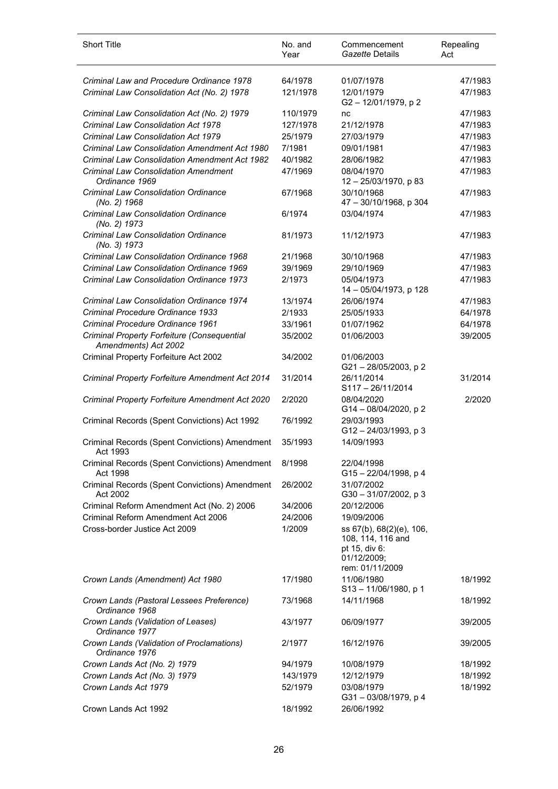| <b>Short Title</b>                                                  | No. and<br>Year | Commencement<br>Gazette Details                                               | Repealing<br>Act |
|---------------------------------------------------------------------|-----------------|-------------------------------------------------------------------------------|------------------|
| Criminal Law and Procedure Ordinance 1978                           | 64/1978         | 01/07/1978                                                                    | 47/1983          |
| Criminal Law Consolidation Act (No. 2) 1978                         | 121/1978        | 12/01/1979<br>G2-12/01/1979, p2                                               | 47/1983          |
| Criminal Law Consolidation Act (No. 2) 1979                         | 110/1979        | nc                                                                            | 47/1983          |
| <b>Criminal Law Consolidation Act 1978</b>                          | 127/1978        | 21/12/1978                                                                    | 47/1983          |
| Criminal Law Consolidation Act 1979                                 | 25/1979         | 27/03/1979                                                                    | 47/1983          |
| <b>Criminal Law Consolidation Amendment Act 1980</b>                | 7/1981          | 09/01/1981                                                                    | 47/1983          |
| <b>Criminal Law Consolidation Amendment Act 1982</b>                | 40/1982         | 28/06/1982                                                                    | 47/1983          |
| <b>Criminal Law Consolidation Amendment</b><br>Ordinance 1969       | 47/1969         | 08/04/1970<br>12 - 25/03/1970, p 83                                           | 47/1983          |
| <b>Criminal Law Consolidation Ordinance</b><br>(No. 2) 1968         | 67/1968         | 30/10/1968<br>47 - 30/10/1968, p 304                                          | 47/1983          |
| <b>Criminal Law Consolidation Ordinance</b><br>(No. 2) 1973         | 6/1974          | 03/04/1974                                                                    | 47/1983          |
| <b>Criminal Law Consolidation Ordinance</b><br>(No. 3) 1973         | 81/1973         | 11/12/1973                                                                    | 47/1983          |
| <b>Criminal Law Consolidation Ordinance 1968</b>                    | 21/1968         | 30/10/1968                                                                    | 47/1983          |
| <b>Criminal Law Consolidation Ordinance 1969</b>                    | 39/1969         | 29/10/1969                                                                    | 47/1983          |
| <b>Criminal Law Consolidation Ordinance 1973</b>                    | 2/1973          | 05/04/1973<br>14 - 05/04/1973, p 128                                          | 47/1983          |
| Criminal Law Consolidation Ordinance 1974                           | 13/1974         | 26/06/1974                                                                    | 47/1983          |
| Criminal Procedure Ordinance 1933                                   | 2/1933          | 25/05/1933                                                                    | 64/1978          |
| Criminal Procedure Ordinance 1961                                   | 33/1961         | 01/07/1962                                                                    | 64/1978          |
| Criminal Property Forfeiture (Consequential<br>Amendments) Act 2002 | 35/2002         | 01/06/2003                                                                    | 39/2005          |
| Criminal Property Forfeiture Act 2002                               | 34/2002         | 01/06/2003<br>G21-28/05/2003, p2                                              |                  |
| Criminal Property Forfeiture Amendment Act 2014                     | 31/2014         | 26/11/2014<br>$S117 - 26/11/2014$                                             | 31/2014          |
| Criminal Property Forfeiture Amendment Act 2020                     | 2/2020          | 08/04/2020<br>G14-08/04/2020, p2                                              | 2/2020           |
| Criminal Records (Spent Convictions) Act 1992                       | 76/1992         | 29/03/1993<br>G12-24/03/1993, p3                                              |                  |
| Criminal Records (Spent Convictions) Amendment<br>Act 1993          | 35/1993         | 14/09/1993                                                                    |                  |
| Criminal Records (Spent Convictions) Amendment<br>Act 1998          | 8/1998          | 22/04/1998<br>G15-22/04/1998, p 4                                             |                  |
| Criminal Records (Spent Convictions) Amendment<br>Act 2002          | 26/2002         | 31/07/2002<br>G30-31/07/2002, p3                                              |                  |
| Criminal Reform Amendment Act (No. 2) 2006                          | 34/2006         | 20/12/2006                                                                    |                  |
| Criminal Reform Amendment Act 2006                                  | 24/2006         | 19/09/2006                                                                    |                  |
| Cross-border Justice Act 2009                                       | 1/2009          | ss 67(b), 68(2)(e), 106,<br>108, 114, 116 and<br>pt 15, div 6:<br>01/12/2009; |                  |
| Crown Lands (Amendment) Act 1980                                    | 17/1980         | rem: 01/11/2009<br>11/06/1980                                                 | 18/1992          |
| Crown Lands (Pastoral Lessees Preference)<br>Ordinance 1968         | 73/1968         | S13-11/06/1980, p1<br>14/11/1968                                              | 18/1992          |
| Crown Lands (Validation of Leases)<br>Ordinance 1977                | 43/1977         | 06/09/1977                                                                    | 39/2005          |
| Crown Lands (Validation of Proclamations)<br>Ordinance 1976         | 2/1977          | 16/12/1976                                                                    | 39/2005          |
| Crown Lands Act (No. 2) 1979                                        | 94/1979         | 10/08/1979                                                                    | 18/1992          |
| Crown Lands Act (No. 3) 1979                                        | 143/1979        | 12/12/1979                                                                    | 18/1992          |
| Crown Lands Act 1979                                                | 52/1979         | 03/08/1979<br>G31-03/08/1979, p 4                                             | 18/1992          |
| Crown Lands Act 1992                                                | 18/1992         | 26/06/1992                                                                    |                  |

l,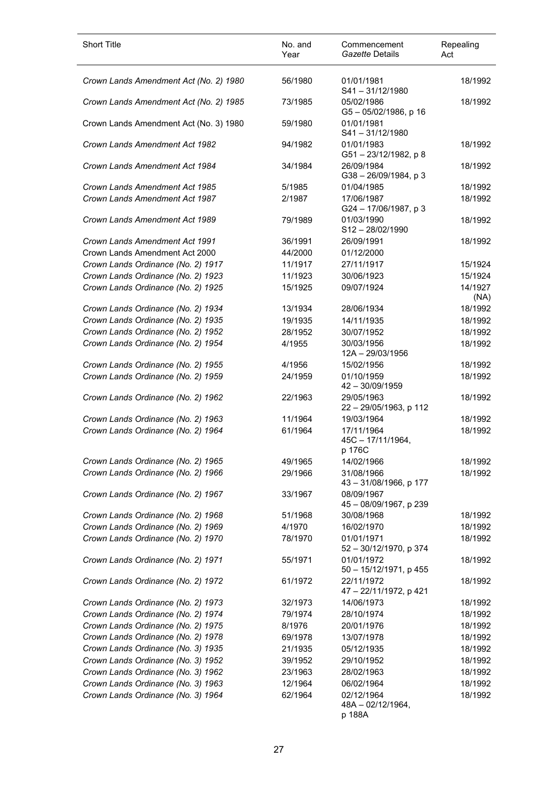| <b>Short Title</b>                     | No. and<br>Year | Commencement<br>Gazette Details           | Repealing<br>Act |
|----------------------------------------|-----------------|-------------------------------------------|------------------|
| Crown Lands Amendment Act (No. 2) 1980 | 56/1980         | 01/01/1981<br>S41-31/12/1980              | 18/1992          |
| Crown Lands Amendment Act (No. 2) 1985 | 73/1985         | 05/02/1986<br>G5-05/02/1986, p 16         | 18/1992          |
| Crown Lands Amendment Act (No. 3) 1980 | 59/1980         | 01/01/1981<br>S41-31/12/1980              |                  |
| Crown Lands Amendment Act 1982         | 94/1982         | 01/01/1983<br>G51-23/12/1982, p 8         | 18/1992          |
| Crown Lands Amendment Act 1984         | 34/1984         | 26/09/1984<br>G38-26/09/1984, p 3         | 18/1992          |
| Crown Lands Amendment Act 1985         | 5/1985          | 01/04/1985                                | 18/1992          |
| Crown Lands Amendment Act 1987         | 2/1987          | 17/06/1987<br>G24 - 17/06/1987, p 3       | 18/1992          |
| Crown Lands Amendment Act 1989         | 79/1989         | 01/03/1990<br>S12-28/02/1990              | 18/1992          |
| Crown Lands Amendment Act 1991         | 36/1991         | 26/09/1991                                | 18/1992          |
| Crown Lands Amendment Act 2000         | 44/2000         | 01/12/2000                                |                  |
| Crown Lands Ordinance (No. 2) 1917     | 11/1917         | 27/11/1917                                | 15/1924          |
| Crown Lands Ordinance (No. 2) 1923     | 11/1923         | 30/06/1923                                | 15/1924          |
| Crown Lands Ordinance (No. 2) 1925     | 15/1925         | 09/07/1924                                | 14/1927<br>(NA)  |
| Crown Lands Ordinance (No. 2) 1934     | 13/1934         | 28/06/1934                                | 18/1992          |
| Crown Lands Ordinance (No. 2) 1935     | 19/1935         | 14/11/1935                                | 18/1992          |
| Crown Lands Ordinance (No. 2) 1952     | 28/1952         | 30/07/1952                                | 18/1992          |
| Crown Lands Ordinance (No. 2) 1954     | 4/1955          | 30/03/1956<br>12A-29/03/1956              | 18/1992          |
| Crown Lands Ordinance (No. 2) 1955     | 4/1956          | 15/02/1956                                | 18/1992          |
| Crown Lands Ordinance (No. 2) 1959     | 24/1959         | 01/10/1959<br>42 - 30/09/1959             | 18/1992          |
| Crown Lands Ordinance (No. 2) 1962     | 22/1963         | 29/05/1963<br>22 - 29/05/1963, p 112      | 18/1992          |
| Crown Lands Ordinance (No. 2) 1963     | 11/1964         | 19/03/1964                                | 18/1992          |
| Crown Lands Ordinance (No. 2) 1964     | 61/1964         | 17/11/1964<br>45C - 17/11/1964,<br>p 176C | 18/1992          |
| Crown Lands Ordinance (No. 2) 1965     | 49/1965         | 14/02/1966                                | 18/1992          |
| Crown Lands Ordinance (No. 2) 1966     | 29/1966         | 31/08/1966<br>43 - 31/08/1966, p 177      | 18/1992          |
| Crown Lands Ordinance (No. 2) 1967     | 33/1967         | 08/09/1967<br>45 - 08/09/1967, p 239      |                  |
| Crown Lands Ordinance (No. 2) 1968     | 51/1968         | 30/08/1968                                | 18/1992          |
| Crown Lands Ordinance (No. 2) 1969     | 4/1970          | 16/02/1970                                | 18/1992          |
| Crown Lands Ordinance (No. 2) 1970     | 78/1970         | 01/01/1971<br>52 - 30/12/1970, p 374      | 18/1992          |
| Crown Lands Ordinance (No. 2) 1971     | 55/1971         | 01/01/1972<br>50 - 15/12/1971, p 455      | 18/1992          |
| Crown Lands Ordinance (No. 2) 1972     | 61/1972         | 22/11/1972<br>47 - 22/11/1972, p 421      | 18/1992          |
| Crown Lands Ordinance (No. 2) 1973     | 32/1973         | 14/06/1973                                | 18/1992          |
| Crown Lands Ordinance (No. 2) 1974     | 79/1974         | 28/10/1974                                | 18/1992          |
| Crown Lands Ordinance (No. 2) 1975     | 8/1976          | 20/01/1976                                | 18/1992          |
| Crown Lands Ordinance (No. 2) 1978     | 69/1978         | 13/07/1978                                | 18/1992          |
| Crown Lands Ordinance (No. 3) 1935     | 21/1935         | 05/12/1935                                | 18/1992          |
| Crown Lands Ordinance (No. 3) 1952     | 39/1952         | 29/10/1952                                | 18/1992          |
| Crown Lands Ordinance (No. 3) 1962     | 23/1963         | 28/02/1963                                | 18/1992          |
| Crown Lands Ordinance (No. 3) 1963     | 12/1964         | 06/02/1964                                | 18/1992          |
| Crown Lands Ordinance (No. 3) 1964     | 62/1964         | 02/12/1964<br>48A - 02/12/1964,<br>p 188A | 18/1992          |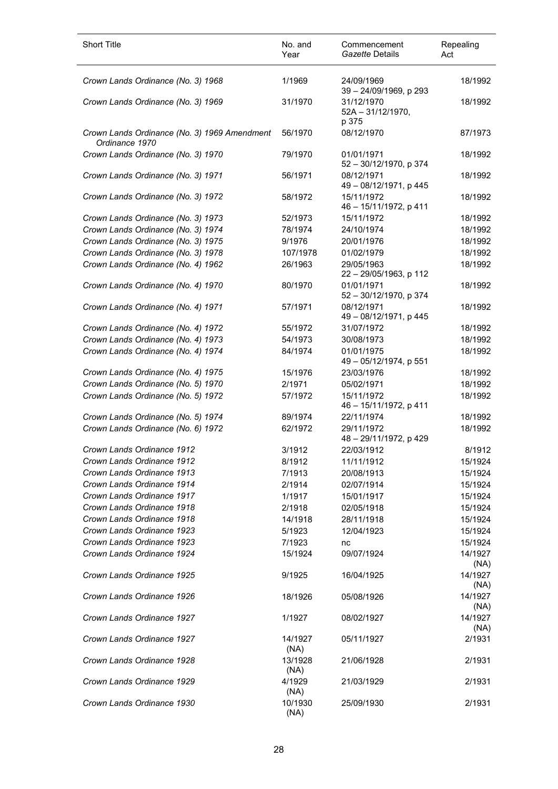| <b>Short Title</b>                                             | No. and<br>Year | Commencement<br>Gazette Details             | Repealing<br>Act |
|----------------------------------------------------------------|-----------------|---------------------------------------------|------------------|
| Crown Lands Ordinance (No. 3) 1968                             | 1/1969          | 24/09/1969<br>39 - 24/09/1969, p 293        | 18/1992          |
| Crown Lands Ordinance (No. 3) 1969                             | 31/1970         | 31/12/1970<br>$52A - 31/12/1970$ ,<br>p 375 | 18/1992          |
| Crown Lands Ordinance (No. 3) 1969 Amendment<br>Ordinance 1970 | 56/1970         | 08/12/1970                                  | 87/1973          |
| Crown Lands Ordinance (No. 3) 1970                             | 79/1970         | 01/01/1971<br>52 - 30/12/1970, p 374        | 18/1992          |
| Crown Lands Ordinance (No. 3) 1971                             | 56/1971         | 08/12/1971<br>49 - 08/12/1971, p 445        | 18/1992          |
| Crown Lands Ordinance (No. 3) 1972                             | 58/1972         | 15/11/1972<br>46 - 15/11/1972, p 411        | 18/1992          |
| Crown Lands Ordinance (No. 3) 1973                             | 52/1973         | 15/11/1972                                  | 18/1992          |
| Crown Lands Ordinance (No. 3) 1974                             | 78/1974         | 24/10/1974                                  | 18/1992          |
| Crown Lands Ordinance (No. 3) 1975                             | 9/1976          | 20/01/1976                                  | 18/1992          |
| Crown Lands Ordinance (No. 3) 1978                             | 107/1978        | 01/02/1979                                  | 18/1992          |
| Crown Lands Ordinance (No. 4) 1962                             | 26/1963         | 29/05/1963<br>22 - 29/05/1963, p 112        | 18/1992          |
| Crown Lands Ordinance (No. 4) 1970                             | 80/1970         | 01/01/1971<br>52 - 30/12/1970, p 374        | 18/1992          |
| Crown Lands Ordinance (No. 4) 1971                             | 57/1971         | 08/12/1971<br>49 - 08/12/1971, p 445        | 18/1992          |
| Crown Lands Ordinance (No. 4) 1972                             | 55/1972         | 31/07/1972                                  | 18/1992          |
| Crown Lands Ordinance (No. 4) 1973                             | 54/1973         | 30/08/1973                                  | 18/1992          |
| Crown Lands Ordinance (No. 4) 1974                             | 84/1974         | 01/01/1975<br>49 - 05/12/1974, p 551        | 18/1992          |
| Crown Lands Ordinance (No. 4) 1975                             | 15/1976         | 23/03/1976                                  | 18/1992          |
| Crown Lands Ordinance (No. 5) 1970                             | 2/1971          | 05/02/1971                                  | 18/1992          |
| Crown Lands Ordinance (No. 5) 1972                             | 57/1972         | 15/11/1972<br>46 - 15/11/1972, p 411        | 18/1992          |
| Crown Lands Ordinance (No. 5) 1974                             | 89/1974         | 22/11/1974                                  | 18/1992          |
| Crown Lands Ordinance (No. 6) 1972                             | 62/1972         | 29/11/1972<br>48 - 29/11/1972, p 429        | 18/1992          |
| Crown Lands Ordinance 1912                                     | 3/1912          | 22/03/1912                                  | 8/1912           |
| Crown Lands Ordinance 1912                                     | 8/1912          | 11/11/1912                                  | 15/1924          |
| Crown Lands Ordinance 1913                                     | 7/1913          | 20/08/1913                                  | 15/1924          |
| Crown Lands Ordinance 1914                                     | 2/1914          | 02/07/1914                                  | 15/1924          |
| Crown Lands Ordinance 1917                                     | 1/1917          | 15/01/1917                                  | 15/1924          |
| Crown Lands Ordinance 1918                                     | 2/1918          | 02/05/1918                                  | 15/1924          |
| Crown Lands Ordinance 1918                                     | 14/1918         | 28/11/1918                                  | 15/1924          |
| Crown Lands Ordinance 1923                                     | 5/1923          | 12/04/1923                                  | 15/1924          |
| Crown Lands Ordinance 1923                                     | 7/1923          |                                             | 15/1924          |
| Crown Lands Ordinance 1924                                     | 15/1924         | nc                                          | 14/1927          |
|                                                                |                 | 09/07/1924                                  | (NA)             |
| Crown Lands Ordinance 1925                                     | 9/1925          | 16/04/1925                                  | 14/1927<br>(NA)  |
| Crown Lands Ordinance 1926                                     | 18/1926         | 05/08/1926                                  | 14/1927<br>(NA)  |
| Crown Lands Ordinance 1927                                     | 1/1927          | 08/02/1927                                  | 14/1927<br>(NA)  |
| Crown Lands Ordinance 1927                                     | 14/1927<br>(NA) | 05/11/1927                                  | 2/1931           |
| Crown Lands Ordinance 1928                                     | 13/1928<br>(NA) | 21/06/1928                                  | 2/1931           |
| Crown Lands Ordinance 1929                                     | 4/1929<br>(NA)  | 21/03/1929                                  | 2/1931           |
| Crown Lands Ordinance 1930                                     | 10/1930<br>(NA) | 25/09/1930                                  | 2/1931           |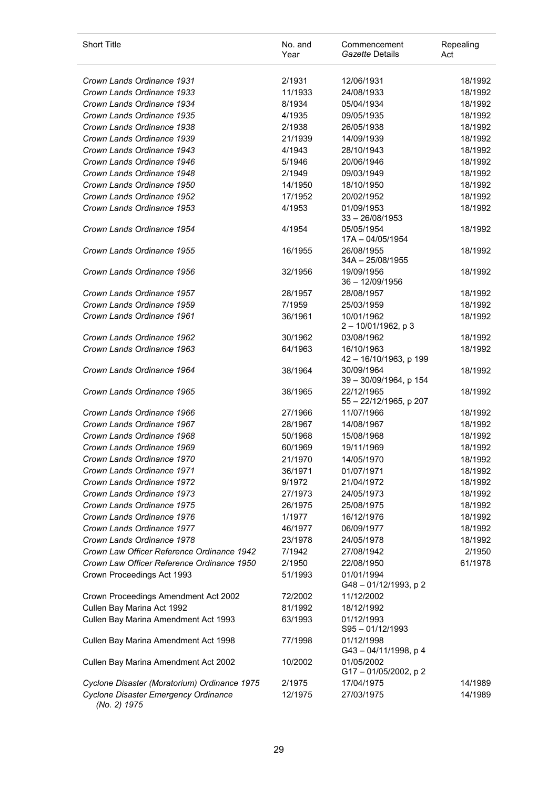| <b>Short Title</b>                                   | No. and<br>Year | Commencement<br>Gazette Details      | Repealing<br>Act |
|------------------------------------------------------|-----------------|--------------------------------------|------------------|
| Crown Lands Ordinance 1931                           | 2/1931          | 12/06/1931                           | 18/1992          |
| Crown Lands Ordinance 1933                           | 11/1933         | 24/08/1933                           | 18/1992          |
| Crown Lands Ordinance 1934                           | 8/1934          | 05/04/1934                           | 18/1992          |
| Crown Lands Ordinance 1935                           | 4/1935          | 09/05/1935                           | 18/1992          |
| Crown Lands Ordinance 1938                           | 2/1938          | 26/05/1938                           | 18/1992          |
| Crown Lands Ordinance 1939                           | 21/1939         | 14/09/1939                           | 18/1992          |
| Crown Lands Ordinance 1943                           | 4/1943          | 28/10/1943                           | 18/1992          |
| Crown Lands Ordinance 1946                           | 5/1946          | 20/06/1946                           | 18/1992          |
| Crown Lands Ordinance 1948                           | 2/1949          | 09/03/1949                           | 18/1992          |
| Crown Lands Ordinance 1950                           | 14/1950         | 18/10/1950                           | 18/1992          |
| Crown Lands Ordinance 1952                           | 17/1952         | 20/02/1952                           | 18/1992          |
| Crown Lands Ordinance 1953                           | 4/1953          | 01/09/1953<br>$33 - 26/08/1953$      | 18/1992          |
| Crown Lands Ordinance 1954                           | 4/1954          | 05/05/1954<br>17A - 04/05/1954       | 18/1992          |
| Crown Lands Ordinance 1955                           | 16/1955         | 26/08/1955<br>34A - 25/08/1955       | 18/1992          |
| Crown Lands Ordinance 1956                           | 32/1956         | 19/09/1956<br>$36 - 12/09/1956$      | 18/1992          |
| Crown Lands Ordinance 1957                           | 28/1957         | 28/08/1957                           | 18/1992          |
| Crown Lands Ordinance 1959                           | 7/1959          | 25/03/1959                           | 18/1992          |
| Crown Lands Ordinance 1961                           | 36/1961         | 10/01/1962<br>$2 - 10/01/1962$ , p 3 | 18/1992          |
| Crown Lands Ordinance 1962                           | 30/1962         | 03/08/1962                           | 18/1992          |
| Crown Lands Ordinance 1963                           | 64/1963         | 16/10/1963<br>42 - 16/10/1963, p 199 | 18/1992          |
| Crown Lands Ordinance 1964                           | 38/1964         | 30/09/1964<br>39 - 30/09/1964, p 154 | 18/1992          |
| Crown Lands Ordinance 1965                           | 38/1965         | 22/12/1965<br>55 - 22/12/1965, p 207 | 18/1992          |
| Crown Lands Ordinance 1966                           | 27/1966         | 11/07/1966                           | 18/1992          |
| Crown Lands Ordinance 1967                           | 28/1967         | 14/08/1967                           | 18/1992          |
| Crown Lands Ordinance 1968                           | 50/1968         | 15/08/1968                           | 18/1992          |
| Crown Lands Ordinance 1969                           | 60/1969         | 19/11/1969                           | 18/1992          |
| Crown Lands Ordinance 1970                           | 21/1970         | 14/05/1970                           | 18/1992          |
| Crown Lands Ordinance 1971                           | 36/1971         | 01/07/1971                           | 18/1992          |
| Crown Lands Ordinance 1972                           | 9/1972          | 21/04/1972                           | 18/1992          |
| Crown Lands Ordinance 1973                           | 27/1973         | 24/05/1973                           | 18/1992          |
| Crown Lands Ordinance 1975                           | 26/1975         | 25/08/1975                           | 18/1992          |
| Crown Lands Ordinance 1976                           | 1/1977          | 16/12/1976                           | 18/1992          |
| Crown Lands Ordinance 1977                           | 46/1977         | 06/09/1977                           | 18/1992          |
| Crown Lands Ordinance 1978                           | 23/1978         | 24/05/1978                           | 18/1992          |
| Crown Law Officer Reference Ordinance 1942           | 7/1942          | 27/08/1942                           | 2/1950           |
| Crown Law Officer Reference Ordinance 1950           | 2/1950          | 22/08/1950                           | 61/1978          |
| Crown Proceedings Act 1993                           | 51/1993         | 01/01/1994<br>G48-01/12/1993, p2     |                  |
| Crown Proceedings Amendment Act 2002                 | 72/2002         | 11/12/2002                           |                  |
| Cullen Bay Marina Act 1992                           | 81/1992         | 18/12/1992                           |                  |
| Cullen Bay Marina Amendment Act 1993                 | 63/1993         | 01/12/1993<br>S95-01/12/1993         |                  |
| Cullen Bay Marina Amendment Act 1998                 | 77/1998         | 01/12/1998<br>G43-04/11/1998, p 4    |                  |
| Cullen Bay Marina Amendment Act 2002                 | 10/2002         | 01/05/2002<br>G17-01/05/2002, p2     |                  |
| Cyclone Disaster (Moratorium) Ordinance 1975         | 2/1975          | 17/04/1975                           | 14/1989          |
| Cyclone Disaster Emergency Ordinance<br>(No. 2) 1975 | 12/1975         | 27/03/1975                           | 14/1989          |